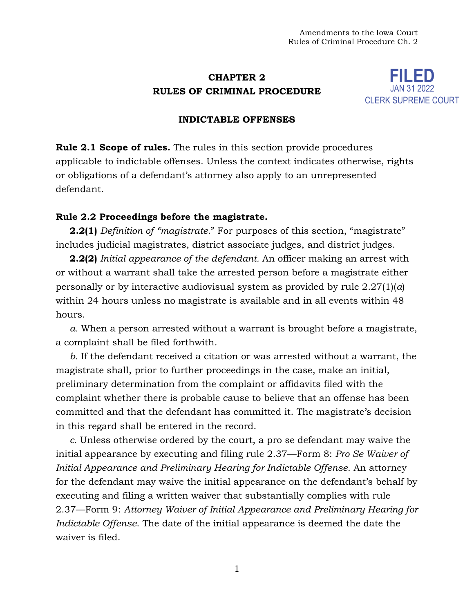# **CHAPTER 2 RULES OF CRIMINAL PROCEDURE**



## **INDICTABLE OFFENSES**

**Rule 2.1 Scope of rules.** The rules in this section provide procedures applicable to indictable offenses. Unless the context indicates otherwise, rights or obligations of a defendant's attorney also apply to an unrepresented defendant.

## **Rule 2.2 Proceedings before the magistrate.**

**2.2(1)** *Definition of "magistrate."* For purposes of this section, "magistrate" includes judicial magistrates, district associate judges, and district judges.

**2.2(2)** *Initial appearance of the defendant.* An officer making an arrest with or without a warrant shall take the arrested person before a magistrate either personally or by interactive audiovisual system as provided by rule 2.27(1)(*a*) within 24 hours unless no magistrate is available and in all events within 48 hours.

*a.* When a person arrested without a warrant is brought before a magistrate, a complaint shall be filed forthwith.

*b.* If the defendant received a citation or was arrested without a warrant, the magistrate shall, prior to further proceedings in the case, make an initial, preliminary determination from the complaint or affidavits filed with the complaint whether there is probable cause to believe that an offense has been committed and that the defendant has committed it. The magistrate's decision in this regard shall be entered in the record.

*c.* Unless otherwise ordered by the court, a pro se defendant may waive the initial appearance by executing and filing rule 2.37—Form 8: *Pro Se Waiver of Initial Appearance and Preliminary Hearing for Indictable Offense*. An attorney for the defendant may waive the initial appearance on the defendant's behalf by executing and filing a written waiver that substantially complies with rule 2.37—Form 9: *Attorney Waiver of Initial Appearance and Preliminary Hearing for Indictable Offense*. The date of the initial appearance is deemed the date the waiver is filed.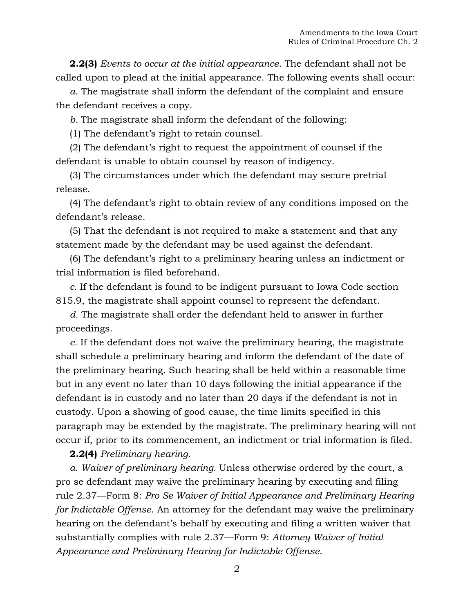**2.2(3)** *Events to occur at the initial appearance.* The defendant shall not be called upon to plead at the initial appearance. The following events shall occur:

*a.* The magistrate shall inform the defendant of the complaint and ensure the defendant receives a copy.

*b.* The magistrate shall inform the defendant of the following:

(1) The defendant's right to retain counsel.

(2) The defendant's right to request the appointment of counsel if the defendant is unable to obtain counsel by reason of indigency.

(3) The circumstances under which the defendant may secure pretrial release.

(4) The defendant's right to obtain review of any conditions imposed on the defendant's release.

(5) That the defendant is not required to make a statement and that any statement made by the defendant may be used against the defendant.

(6) The defendant's right to a preliminary hearing unless an indictment or trial information is filed beforehand.

*c.* If the defendant is found to be indigent pursuant to Iowa Code section 815.9, the magistrate shall appoint counsel to represent the defendant.

*d.* The magistrate shall order the defendant held to answer in further proceedings.

*e.* If the defendant does not waive the preliminary hearing, the magistrate shall schedule a preliminary hearing and inform the defendant of the date of the preliminary hearing. Such hearing shall be held within a reasonable time but in any event no later than 10 days following the initial appearance if the defendant is in custody and no later than 20 days if the defendant is not in custody. Upon a showing of good cause, the time limits specified in this paragraph may be extended by the magistrate. The preliminary hearing will not occur if, prior to its commencement, an indictment or trial information is filed.

**2.2(4)** *Preliminary hearing.*

*a. Waiver of preliminary hearing.* Unless otherwise ordered by the court, a pro se defendant may waive the preliminary hearing by executing and filing rule 2.37—Form 8: *Pro Se Waiver of Initial Appearance and Preliminary Hearing for Indictable Offense*. An attorney for the defendant may waive the preliminary hearing on the defendant's behalf by executing and filing a written waiver that substantially complies with rule 2.37—Form 9: *Attorney Waiver of Initial Appearance and Preliminary Hearing for Indictable Offense*.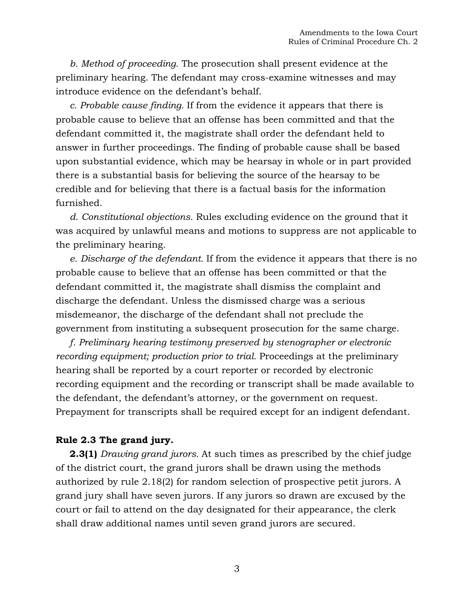*b. Method of proceeding.* The prosecution shall present evidence at the preliminary hearing. The defendant may cross-examine witnesses and may introduce evidence on the defendant's behalf.

*c. Probable cause finding.* If from the evidence it appears that there is probable cause to believe that an offense has been committed and that the defendant committed it, the magistrate shall order the defendant held to answer in further proceedings. The finding of probable cause shall be based upon substantial evidence, which may be hearsay in whole or in part provided there is a substantial basis for believing the source of the hearsay to be credible and for believing that there is a factual basis for the information furnished.

*d. Constitutional objections.* Rules excluding evidence on the ground that it was acquired by unlawful means and motions to suppress are not applicable to the preliminary hearing.

*e. Discharge of the defendant.* If from the evidence it appears that there is no probable cause to believe that an offense has been committed or that the defendant committed it, the magistrate shall dismiss the complaint and discharge the defendant. Unless the dismissed charge was a serious misdemeanor, the discharge of the defendant shall not preclude the government from instituting a subsequent prosecution for the same charge.

*f. Preliminary hearing testimony preserved by stenographer or electronic recording equipment; production prior to trial.* Proceedings at the preliminary hearing shall be reported by a court reporter or recorded by electronic recording equipment and the recording or transcript shall be made available to the defendant, the defendant's attorney, or the government on request. Prepayment for transcripts shall be required except for an indigent defendant.

## **Rule 2.3 The grand jury.**

**2.3(1)** *Drawing grand jurors.* At such times as prescribed by the chief judge of the district court, the grand jurors shall be drawn using the methods authorized by rule 2.18(2) for random selection of prospective petit jurors. A grand jury shall have seven jurors. If any jurors so drawn are excused by the court or fail to attend on the day designated for their appearance, the clerk shall draw additional names until seven grand jurors are secured.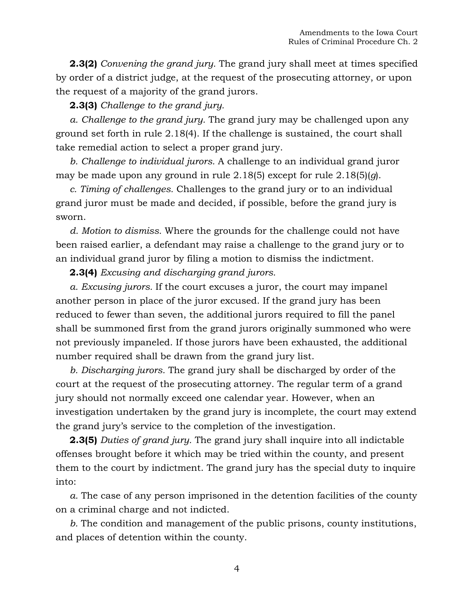**2.3(2)** *Convening the grand jury.* The grand jury shall meet at times specified by order of a district judge, at the request of the prosecuting attorney, or upon the request of a majority of the grand jurors.

## **2.3(3)** *Challenge to the grand jury.*

*a. Challenge to the grand jury.* The grand jury may be challenged upon any ground set forth in rule 2.18(4). If the challenge is sustained, the court shall take remedial action to select a proper grand jury.

*b. Challenge to individual jurors.* A challenge to an individual grand juror may be made upon any ground in rule 2.18(5) except for rule 2.18(5)(*g*).

*c. Timing of challenges.* Challenges to the grand jury or to an individual grand juror must be made and decided, if possible, before the grand jury is sworn.

*d. Motion to dismiss.* Where the grounds for the challenge could not have been raised earlier, a defendant may raise a challenge to the grand jury or to an individual grand juror by filing a motion to dismiss the indictment.

**2.3(4)** *Excusing and discharging grand jurors.*

*a. Excusing jurors.* If the court excuses a juror, the court may impanel another person in place of the juror excused. If the grand jury has been reduced to fewer than seven, the additional jurors required to fill the panel shall be summoned first from the grand jurors originally summoned who were not previously impaneled. If those jurors have been exhausted, the additional number required shall be drawn from the grand jury list.

*b. Discharging jurors.* The grand jury shall be discharged by order of the court at the request of the prosecuting attorney. The regular term of a grand jury should not normally exceed one calendar year. However, when an investigation undertaken by the grand jury is incomplete, the court may extend the grand jury's service to the completion of the investigation.

**2.3(5)** *Duties of grand jury.* The grand jury shall inquire into all indictable offenses brought before it which may be tried within the county, and present them to the court by indictment. The grand jury has the special duty to inquire into:

*a.* The case of any person imprisoned in the detention facilities of the county on a criminal charge and not indicted.

*b.* The condition and management of the public prisons, county institutions, and places of detention within the county.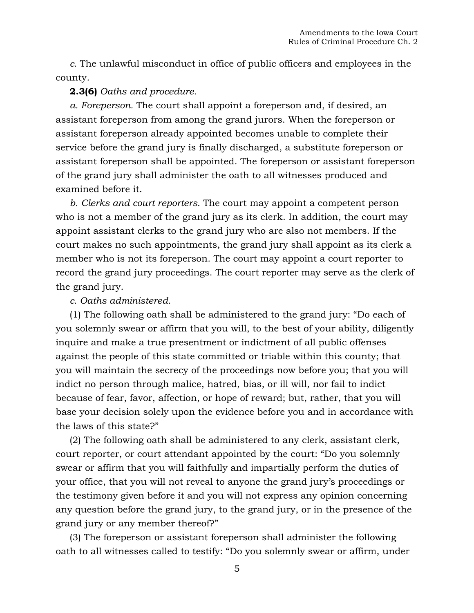*c.* The unlawful misconduct in office of public officers and employees in the county.

## **2.3(6)** *Oaths and procedure.*

*a. Foreperson.* The court shall appoint a foreperson and, if desired, an assistant foreperson from among the grand jurors. When the foreperson or assistant foreperson already appointed becomes unable to complete their service before the grand jury is finally discharged, a substitute foreperson or assistant foreperson shall be appointed. The foreperson or assistant foreperson of the grand jury shall administer the oath to all witnesses produced and examined before it.

*b. Clerks and court reporters.* The court may appoint a competent person who is not a member of the grand jury as its clerk. In addition, the court may appoint assistant clerks to the grand jury who are also not members. If the court makes no such appointments, the grand jury shall appoint as its clerk a member who is not its foreperson. The court may appoint a court reporter to record the grand jury proceedings. The court reporter may serve as the clerk of the grand jury.

### *c. Oaths administered.*

(1) The following oath shall be administered to the grand jury: "Do each of you solemnly swear or affirm that you will, to the best of your ability, diligently inquire and make a true presentment or indictment of all public offenses against the people of this state committed or triable within this county; that you will maintain the secrecy of the proceedings now before you; that you will indict no person through malice, hatred, bias, or ill will, nor fail to indict because of fear, favor, affection, or hope of reward; but, rather, that you will base your decision solely upon the evidence before you and in accordance with the laws of this state?"

(2) The following oath shall be administered to any clerk, assistant clerk, court reporter, or court attendant appointed by the court: "Do you solemnly swear or affirm that you will faithfully and impartially perform the duties of your office, that you will not reveal to anyone the grand jury's proceedings or the testimony given before it and you will not express any opinion concerning any question before the grand jury, to the grand jury, or in the presence of the grand jury or any member thereof?"

(3) The foreperson or assistant foreperson shall administer the following oath to all witnesses called to testify: "Do you solemnly swear or affirm, under

5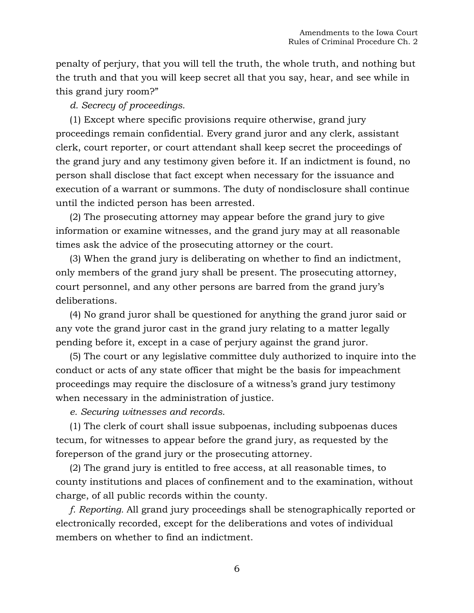penalty of perjury, that you will tell the truth, the whole truth, and nothing but the truth and that you will keep secret all that you say, hear, and see while in this grand jury room?"

*d. Secrecy of proceedings.*

(1) Except where specific provisions require otherwise, grand jury proceedings remain confidential. Every grand juror and any clerk, assistant clerk, court reporter, or court attendant shall keep secret the proceedings of the grand jury and any testimony given before it. If an indictment is found, no person shall disclose that fact except when necessary for the issuance and execution of a warrant or summons. The duty of nondisclosure shall continue until the indicted person has been arrested.

(2) The prosecuting attorney may appear before the grand jury to give information or examine witnesses, and the grand jury may at all reasonable times ask the advice of the prosecuting attorney or the court.

(3) When the grand jury is deliberating on whether to find an indictment, only members of the grand jury shall be present. The prosecuting attorney, court personnel, and any other persons are barred from the grand jury's deliberations.

(4) No grand juror shall be questioned for anything the grand juror said or any vote the grand juror cast in the grand jury relating to a matter legally pending before it, except in a case of perjury against the grand juror.

(5) The court or any legislative committee duly authorized to inquire into the conduct or acts of any state officer that might be the basis for impeachment proceedings may require the disclosure of a witness's grand jury testimony when necessary in the administration of justice.

*e. Securing witnesses and records.*

(1) The clerk of court shall issue subpoenas, including subpoenas duces tecum, for witnesses to appear before the grand jury, as requested by the foreperson of the grand jury or the prosecuting attorney.

(2) The grand jury is entitled to free access, at all reasonable times, to county institutions and places of confinement and to the examination, without charge, of all public records within the county.

*f. Reporting.* All grand jury proceedings shall be stenographically reported or electronically recorded, except for the deliberations and votes of individual members on whether to find an indictment.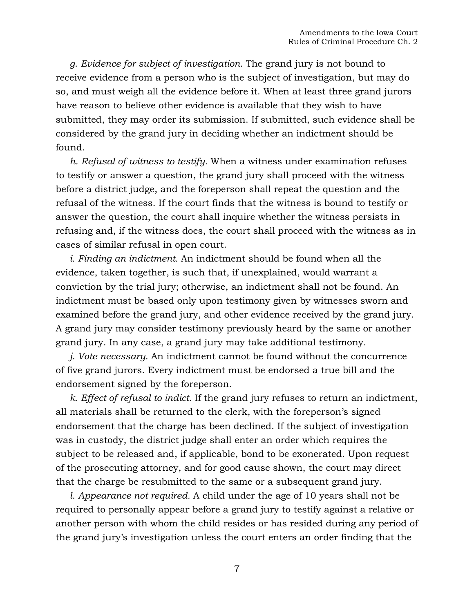*g. Evidence for subject of investigation.* The grand jury is not bound to receive evidence from a person who is the subject of investigation, but may do so, and must weigh all the evidence before it. When at least three grand jurors have reason to believe other evidence is available that they wish to have submitted, they may order its submission. If submitted, such evidence shall be considered by the grand jury in deciding whether an indictment should be found.

*h. Refusal of witness to testify.* When a witness under examination refuses to testify or answer a question, the grand jury shall proceed with the witness before a district judge, and the foreperson shall repeat the question and the refusal of the witness. If the court finds that the witness is bound to testify or answer the question, the court shall inquire whether the witness persists in refusing and, if the witness does, the court shall proceed with the witness as in cases of similar refusal in open court.

*i. Finding an indictment.* An indictment should be found when all the evidence, taken together, is such that, if unexplained, would warrant a conviction by the trial jury; otherwise, an indictment shall not be found. An indictment must be based only upon testimony given by witnesses sworn and examined before the grand jury, and other evidence received by the grand jury. A grand jury may consider testimony previously heard by the same or another grand jury. In any case, a grand jury may take additional testimony.

*j. Vote necessary.* An indictment cannot be found without the concurrence of five grand jurors. Every indictment must be endorsed a true bill and the endorsement signed by the foreperson.

*k. Effect of refusal to indict.* If the grand jury refuses to return an indictment, all materials shall be returned to the clerk, with the foreperson's signed endorsement that the charge has been declined. If the subject of investigation was in custody, the district judge shall enter an order which requires the subject to be released and, if applicable, bond to be exonerated. Upon request of the prosecuting attorney, and for good cause shown, the court may direct that the charge be resubmitted to the same or a subsequent grand jury.

*l. Appearance not required.* A child under the age of 10 years shall not be required to personally appear before a grand jury to testify against a relative or another person with whom the child resides or has resided during any period of the grand jury's investigation unless the court enters an order finding that the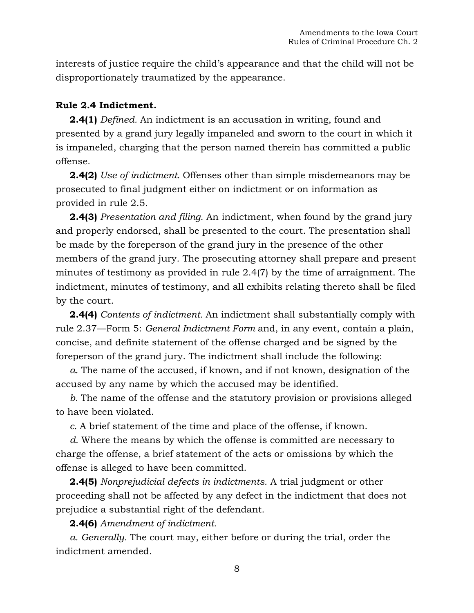interests of justice require the child's appearance and that the child will not be disproportionately traumatized by the appearance.

## **Rule 2.4 Indictment.**

**2.4(1)** *Defined.* An indictment is an accusation in writing, found and presented by a grand jury legally impaneled and sworn to the court in which it is impaneled, charging that the person named therein has committed a public offense.

**2.4(2)** *Use of indictment.* Offenses other than simple misdemeanors may be prosecuted to final judgment either on indictment or on information as provided in rule 2.5.

**2.4(3)** *Presentation and filing.* An indictment, when found by the grand jury and properly endorsed, shall be presented to the court. The presentation shall be made by the foreperson of the grand jury in the presence of the other members of the grand jury. The prosecuting attorney shall prepare and present minutes of testimony as provided in rule 2.4(7) by the time of arraignment. The indictment, minutes of testimony, and all exhibits relating thereto shall be filed by the court.

**2.4(4)** *Contents of indictment.* An indictment shall substantially comply with rule 2.37—Form 5: *General Indictment Form* and, in any event, contain a plain, concise, and definite statement of the offense charged and be signed by the foreperson of the grand jury. The indictment shall include the following:

*a.* The name of the accused, if known, and if not known, designation of the accused by any name by which the accused may be identified.

*b.* The name of the offense and the statutory provision or provisions alleged to have been violated.

*c.* A brief statement of the time and place of the offense, if known.

*d.* Where the means by which the offense is committed are necessary to charge the offense, a brief statement of the acts or omissions by which the offense is alleged to have been committed.

**2.4(5)** *Nonprejudicial defects in indictments.* A trial judgment or other proceeding shall not be affected by any defect in the indictment that does not prejudice a substantial right of the defendant.

**2.4(6)** *Amendment of indictment.*

*a. Generally.* The court may, either before or during the trial, order the indictment amended.

8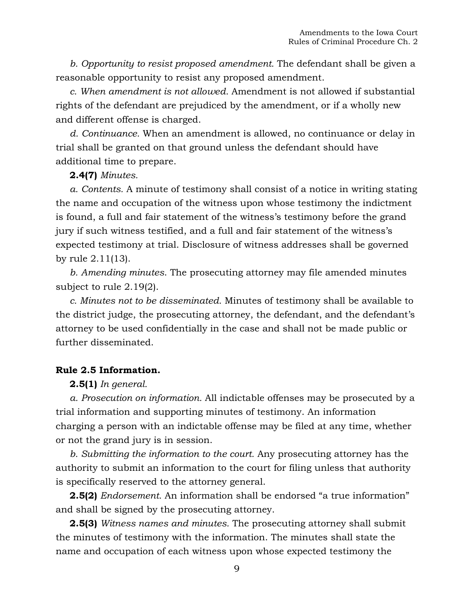*b. Opportunity to resist proposed amendment.* The defendant shall be given a reasonable opportunity to resist any proposed amendment.

*c. When amendment is not allowed.* Amendment is not allowed if substantial rights of the defendant are prejudiced by the amendment, or if a wholly new and different offense is charged.

*d. Continuance.* When an amendment is allowed, no continuance or delay in trial shall be granted on that ground unless the defendant should have additional time to prepare.

## **2.4(7)** *Minutes.*

*a. Contents.* A minute of testimony shall consist of a notice in writing stating the name and occupation of the witness upon whose testimony the indictment is found, a full and fair statement of the witness's testimony before the grand jury if such witness testified, and a full and fair statement of the witness's expected testimony at trial. Disclosure of witness addresses shall be governed by rule 2.11(13).

*b. Amending minutes*. The prosecuting attorney may file amended minutes subject to rule 2.19(2).

*c. Minutes not to be disseminated.* Minutes of testimony shall be available to the district judge, the prosecuting attorney, the defendant, and the defendant's attorney to be used confidentially in the case and shall not be made public or further disseminated.

## **Rule 2.5 Information.**

## **2.5(1)** *In general.*

*a. Prosecution on information.* All indictable offenses may be prosecuted by a trial information and supporting minutes of testimony. An information charging a person with an indictable offense may be filed at any time, whether or not the grand jury is in session.

*b. Submitting the information to the court.* Any prosecuting attorney has the authority to submit an information to the court for filing unless that authority is specifically reserved to the attorney general.

**2.5(2)** *Endorsement.* An information shall be endorsed "a true information" and shall be signed by the prosecuting attorney.

**2.5(3)** *Witness names and minutes.* The prosecuting attorney shall submit the minutes of testimony with the information. The minutes shall state the name and occupation of each witness upon whose expected testimony the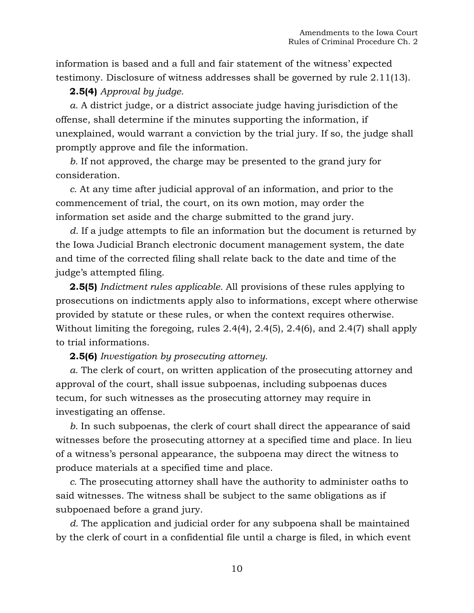information is based and a full and fair statement of the witness' expected testimony. Disclosure of witness addresses shall be governed by rule 2.11(13).

## **2.5(4)** *Approval by judge.*

*a.* A district judge, or a district associate judge having jurisdiction of the offense, shall determine if the minutes supporting the information, if unexplained, would warrant a conviction by the trial jury. If so, the judge shall promptly approve and file the information.

*b.* If not approved, the charge may be presented to the grand jury for consideration.

*c.* At any time after judicial approval of an information, and prior to the commencement of trial, the court, on its own motion, may order the information set aside and the charge submitted to the grand jury.

*d.* If a judge attempts to file an information but the document is returned by the Iowa Judicial Branch electronic document management system, the date and time of the corrected filing shall relate back to the date and time of the judge's attempted filing.

**2.5(5)** *Indictment rules applicable.* All provisions of these rules applying to prosecutions on indictments apply also to informations, except where otherwise provided by statute or these rules, or when the context requires otherwise. Without limiting the foregoing, rules 2.4(4), 2.4(5), 2.4(6), and 2.4(7) shall apply to trial informations.

### **2.5(6)** *Investigation by prosecuting attorney.*

*a.* The clerk of court, on written application of the prosecuting attorney and approval of the court, shall issue subpoenas, including subpoenas duces tecum, for such witnesses as the prosecuting attorney may require in investigating an offense.

*b.* In such subpoenas, the clerk of court shall direct the appearance of said witnesses before the prosecuting attorney at a specified time and place. In lieu of a witness's personal appearance, the subpoena may direct the witness to produce materials at a specified time and place.

*c.* The prosecuting attorney shall have the authority to administer oaths to said witnesses. The witness shall be subject to the same obligations as if subpoenaed before a grand jury.

*d.* The application and judicial order for any subpoena shall be maintained by the clerk of court in a confidential file until a charge is filed, in which event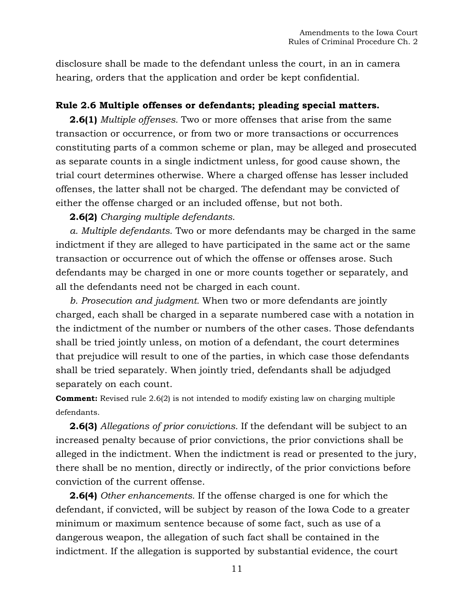disclosure shall be made to the defendant unless the court, in an in camera hearing, orders that the application and order be kept confidential.

## **Rule 2.6 Multiple offenses or defendants; pleading special matters.**

**2.6(1)** *Multiple offenses.* Two or more offenses that arise from the same transaction or occurrence, or from two or more transactions or occurrences constituting parts of a common scheme or plan, may be alleged and prosecuted as separate counts in a single indictment unless, for good cause shown, the trial court determines otherwise. Where a charged offense has lesser included offenses, the latter shall not be charged. The defendant may be convicted of either the offense charged or an included offense, but not both.

**2.6(2)** *Charging multiple defendants.*

*a. Multiple defendants.* Two or more defendants may be charged in the same indictment if they are alleged to have participated in the same act or the same transaction or occurrence out of which the offense or offenses arose. Such defendants may be charged in one or more counts together or separately, and all the defendants need not be charged in each count.

*b. Prosecution and judgment.* When two or more defendants are jointly charged, each shall be charged in a separate numbered case with a notation in the indictment of the number or numbers of the other cases. Those defendants shall be tried jointly unless, on motion of a defendant, the court determines that prejudice will result to one of the parties, in which case those defendants shall be tried separately. When jointly tried, defendants shall be adjudged separately on each count.

**Comment:** Revised rule 2.6(2) is not intended to modify existing law on charging multiple defendants.

**2.6(3)** *Allegations of prior convictions.* If the defendant will be subject to an increased penalty because of prior convictions, the prior convictions shall be alleged in the indictment. When the indictment is read or presented to the jury, there shall be no mention, directly or indirectly, of the prior convictions before conviction of the current offense.

**2.6(4)** *Other enhancements.* If the offense charged is one for which the defendant, if convicted, will be subject by reason of the Iowa Code to a greater minimum or maximum sentence because of some fact, such as use of a dangerous weapon, the allegation of such fact shall be contained in the indictment. If the allegation is supported by substantial evidence, the court

11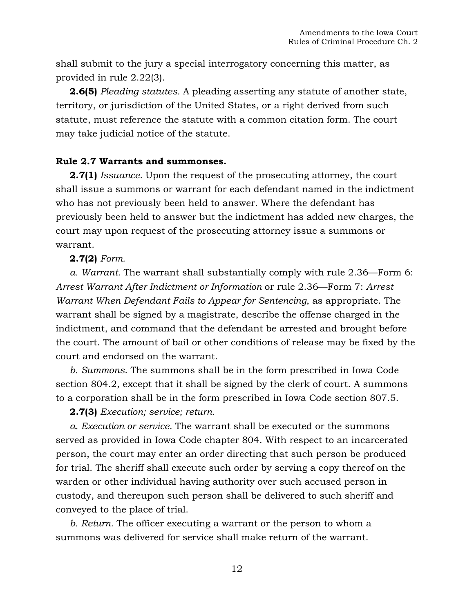shall submit to the jury a special interrogatory concerning this matter, as provided in rule 2.22(3).

**2.6(5)** *Pleading statutes.* A pleading asserting any statute of another state, territory, or jurisdiction of the United States, or a right derived from such statute, must reference the statute with a common citation form. The court may take judicial notice of the statute.

## **Rule 2.7 Warrants and summonses.**

**2.7(1)** *Issuance.* Upon the request of the prosecuting attorney, the court shall issue a summons or warrant for each defendant named in the indictment who has not previously been held to answer. Where the defendant has previously been held to answer but the indictment has added new charges, the court may upon request of the prosecuting attorney issue a summons or warrant.

### **2.7(2)** *Form.*

*a. Warrant.* The warrant shall substantially comply with rule 2.36—Form 6: *Arrest Warrant After Indictment or Information* or rule 2.36—Form 7: *Arrest Warrant When Defendant Fails to Appear for Sentencing*, as appropriate. The warrant shall be signed by a magistrate, describe the offense charged in the indictment, and command that the defendant be arrested and brought before the court. The amount of bail or other conditions of release may be fixed by the court and endorsed on the warrant.

*b. Summons.* The summons shall be in the form prescribed in [Iowa Code](https://1.next.westlaw.com/Link/Document/FullText?findType=L&pubNum=1000256&cite=IASTS804.2&originatingDoc=N9BC628E01B1111DAB311FB76B2E4F553&refType=LQ&originationContext=document&transitionType=DocumentItem&contextData=(sc.Document))  [section 804.2,](https://1.next.westlaw.com/Link/Document/FullText?findType=L&pubNum=1000256&cite=IASTS804.2&originatingDoc=N9BC628E01B1111DAB311FB76B2E4F553&refType=LQ&originationContext=document&transitionType=DocumentItem&contextData=(sc.Document)) except that it shall be signed by the clerk of court. A summons to a corporation shall be in the form prescribed in [Iowa Code section 807.5.](https://1.next.westlaw.com/Link/Document/FullText?findType=L&pubNum=1000256&cite=IASTS807.5&originatingDoc=N9BC628E01B1111DAB311FB76B2E4F553&refType=LQ&originationContext=document&transitionType=DocumentItem&contextData=(sc.Document))

**2.7(3)** *Execution; service; return.*

*a. Execution or service.* The warrant shall be executed or the summons served as provided in Iowa Code chapter 804. With respect to an incarcerated person, the court may enter an order directing that such person be produced for trial. The sheriff shall execute such order by serving a copy thereof on the warden or other individual having authority over such accused person in custody, and thereupon such person shall be delivered to such sheriff and conveyed to the place of trial.

*b. Return.* The officer executing a warrant or the person to whom a summons was delivered for service shall make return of the warrant.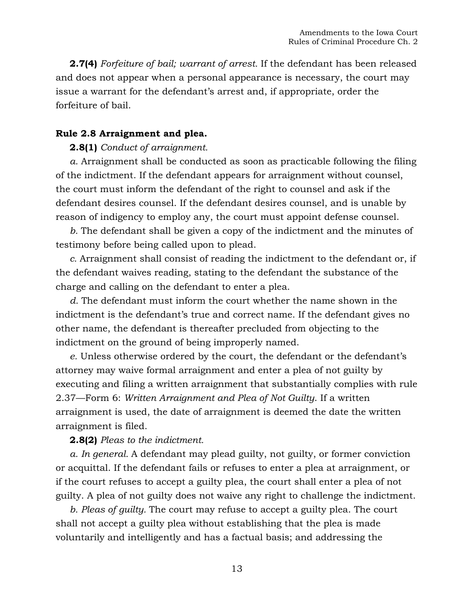**2.7(4)** *Forfeiture of bail; warrant of arrest.* If the defendant has been released and does not appear when a personal appearance is necessary, the court may issue a warrant for the defendant's arrest and, if appropriate, order the forfeiture of bail.

### **Rule 2.8 Arraignment and plea.**

#### **2.8(1)** *Conduct of arraignment.*

*a.* Arraignment shall be conducted as soon as practicable following the filing of the indictment. If the defendant appears for arraignment without counsel, the court must inform the defendant of the right to counsel and ask if the defendant desires counsel. If the defendant desires counsel, and is unable by reason of indigency to employ any, the court must appoint defense counsel.

*b.* The defendant shall be given a copy of the indictment and the minutes of testimony before being called upon to plead.

*c.* Arraignment shall consist of reading the indictment to the defendant or, if the defendant waives reading, stating to the defendant the substance of the charge and calling on the defendant to enter a plea.

*d.* The defendant must inform the court whether the name shown in the indictment is the defendant's true and correct name. If the defendant gives no other name, the defendant is thereafter precluded from objecting to the indictment on the ground of being improperly named.

*e.* Unless otherwise ordered by the court, the defendant or the defendant's attorney may waive formal arraignment and enter a plea of not guilty by executing and filing a written arraignment that substantially complies with rule 2.37—Form 6: *Written Arraignment and Plea of Not Guilty*. If a written arraignment is used, the date of arraignment is deemed the date the written arraignment is filed.

**2.8(2)** *Pleas to the indictment.*

*a. In general.* A defendant may plead guilty, not guilty, or former conviction or acquittal. If the defendant fails or refuses to enter a plea at arraignment, or if the court refuses to accept a guilty plea, the court shall enter a plea of not guilty. A plea of not guilty does not waive any right to challenge the indictment.

*b. Pleas of guilty.* The court may refuse to accept a guilty plea. The court shall not accept a guilty plea without establishing that the plea is made voluntarily and intelligently and has a factual basis; and addressing the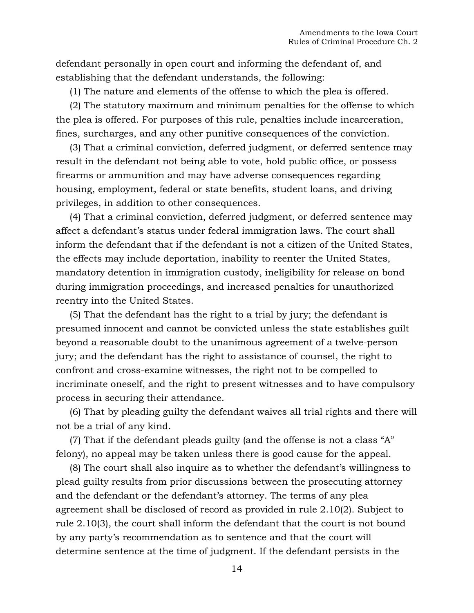defendant personally in open court and informing the defendant of, and establishing that the defendant understands, the following:

(1) The nature and elements of the offense to which the plea is offered.

(2) The statutory maximum and minimum penalties for the offense to which the plea is offered. For purposes of this rule, penalties include incarceration, fines, surcharges, and any other punitive consequences of the conviction.

(3) That a criminal conviction, deferred judgment, or deferred sentence may result in the defendant not being able to vote, hold public office, or possess firearms or ammunition and may have adverse consequences regarding housing, employment, federal or state benefits, student loans, and driving privileges, in addition to other consequences.

(4) That a criminal conviction, deferred judgment, or deferred sentence may affect a defendant's status under federal immigration laws. The court shall inform the defendant that if the defendant is not a citizen of the United States, the effects may include deportation, inability to reenter the United States, mandatory detention in immigration custody, ineligibility for release on bond during immigration proceedings, and increased penalties for unauthorized reentry into the United States.

(5) That the defendant has the right to a trial by jury; the defendant is presumed innocent and cannot be convicted unless the state establishes guilt beyond a reasonable doubt to the unanimous agreement of a twelve-person jury; and the defendant has the right to assistance of counsel, the right to confront and cross-examine witnesses, the right not to be compelled to incriminate oneself, and the right to present witnesses and to have compulsory process in securing their attendance.

(6) That by pleading guilty the defendant waives all trial rights and there will not be a trial of any kind.

(7) That if the defendant pleads guilty (and the offense is not a class "A" felony), no appeal may be taken unless there is good cause for the appeal.

(8) The court shall also inquire as to whether the defendant's willingness to plead guilty results from prior discussions between the prosecuting attorney and the defendant or the defendant's attorney. The terms of any plea agreement shall be disclosed of record as provided in rule 2.10(2). Subject to rule 2.10(3), the court shall inform the defendant that the court is not bound by any party's recommendation as to sentence and that the court will determine sentence at the time of judgment. If the defendant persists in the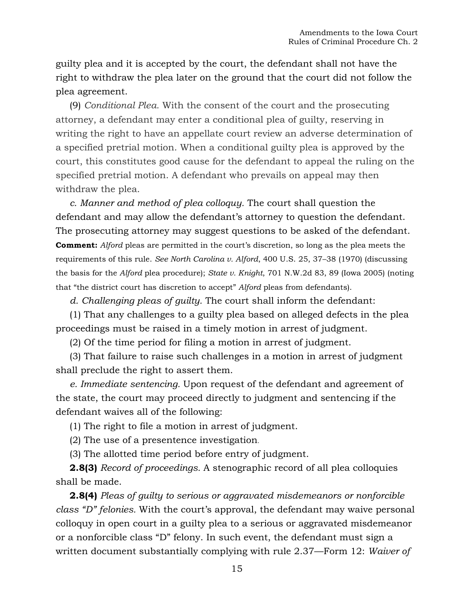guilty plea and it is accepted by the court, the defendant shall not have the right to withdraw the plea later on the ground that the court did not follow the plea agreement.

(9) *Conditional Plea.* With the consent of the court and the prosecuting attorney, a defendant may enter a conditional plea of guilty, reserving in writing the right to have an appellate court review an adverse determination of a specified pretrial motion. When a conditional guilty plea is approved by the court, this constitutes good cause for the defendant to appeal the ruling on the specified pretrial motion. A defendant who prevails on appeal may then withdraw the plea.

*c. Manner and method of plea colloquy.* The court shall question the defendant and may allow the defendant's attorney to question the defendant. The prosecuting attorney may suggest questions to be asked of the defendant. **Comment:** *Alford* pleas are permitted in the court's discretion, so long as the plea meets the requirements of this rule. *See North Carolina v. Alford*, 400 U.S. 25, 37–38 (1970) (discussing the basis for the *Alford* plea procedure); *State v. Knight*, 701 N.W.2d 83, 89 (Iowa 2005) (noting that "the district court has discretion to accept" *Alford* pleas from defendants).

*d. Challenging pleas of guilty.* The court shall inform the defendant:

(1) That any challenges to a guilty plea based on alleged defects in the plea proceedings must be raised in a timely motion in arrest of judgment.

(2) Of the time period for filing a motion in arrest of judgment.

(3) That failure to raise such challenges in a motion in arrest of judgment shall preclude the right to assert them.

*e. Immediate sentencing.* Upon request of the defendant and agreement of the state, the court may proceed directly to judgment and sentencing if the defendant waives all of the following:

(1) The right to file a motion in arrest of judgment.

(2) The use of a presentence investigation.

(3) The allotted time period before entry of judgment.

**2.8(3)** *Record of proceedings.* A stenographic record of all plea colloquies shall be made.

**2.8(4)** *Pleas of guilty to serious or aggravated misdemeanors or nonforcible class "D" felonies.* With the court's approval, the defendant may waive personal colloquy in open court in a guilty plea to a serious or aggravated misdemeanor or a nonforcible class "D" felony. In such event, the defendant must sign a written document substantially complying with rule 2.37—Form 12: *Waiver of*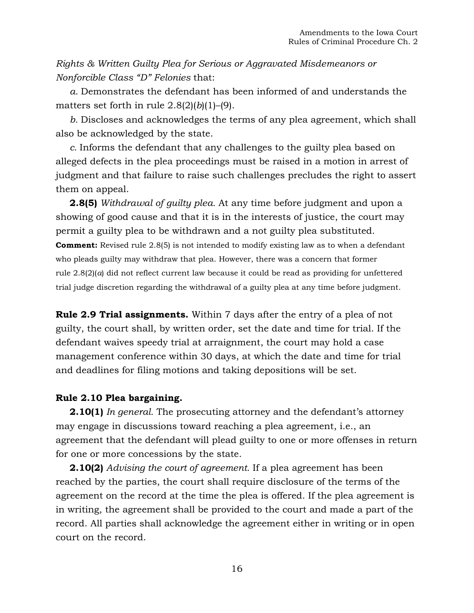*Rights & Written Guilty Plea for Serious or Aggravated Misdemeanors or Nonforcible Class "D" Felonies* that:

*a.* Demonstrates the defendant has been informed of and understands the matters set forth in rule  $2.8(2)(b)(1)$ –(9).

*b.* Discloses and acknowledges the terms of any plea agreement, which shall also be acknowledged by the state.

*c.* Informs the defendant that any challenges to the guilty plea based on alleged defects in the plea proceedings must be raised in a motion in arrest of judgment and that failure to raise such challenges precludes the right to assert them on appeal.

**2.8(5)** *Withdrawal of guilty plea.* At any time before judgment and upon a showing of good cause and that it is in the interests of justice, the court may permit a guilty plea to be withdrawn and a not guilty plea substituted. **Comment:** Revised rule 2.8(5) is not intended to modify existing law as to when a defendant who pleads guilty may withdraw that plea. However, there was a concern that former rule 2.8(2)(*a*) did not reflect current law because it could be read as providing for unfettered trial judge discretion regarding the withdrawal of a guilty plea at any time before judgment.

**Rule 2.9 Trial assignments.** Within 7 days after the entry of a plea of not guilty, the court shall, by written order, set the date and time for trial. If the defendant waives speedy trial at arraignment, the court may hold a case management conference within 30 days, at which the date and time for trial and deadlines for filing motions and taking depositions will be set.

### **Rule 2.10 Plea bargaining.**

**2.10(1)** *In general.* The prosecuting attorney and the defendant's attorney may engage in discussions toward reaching a plea agreement, i.e., an agreement that the defendant will plead guilty to one or more offenses in return for one or more concessions by the state.

**2.10(2)** *Advising the court of agreement.* If a plea agreement has been reached by the parties, the court shall require disclosure of the terms of the agreement on the record at the time the plea is offered. If the plea agreement is in writing, the agreement shall be provided to the court and made a part of the record. All parties shall acknowledge the agreement either in writing or in open court on the record.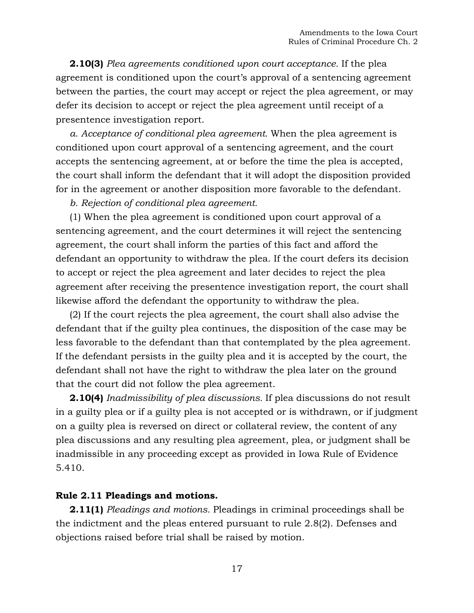**2.10(3)** *Plea agreements conditioned upon court acceptance.* If the plea agreement is conditioned upon the court's approval of a sentencing agreement between the parties, the court may accept or reject the plea agreement, or may defer its decision to accept or reject the plea agreement until receipt of a presentence investigation report.

*a. Acceptance of conditional plea agreement.* When the plea agreement is conditioned upon court approval of a sentencing agreement, and the court accepts the sentencing agreement, at or before the time the plea is accepted, the court shall inform the defendant that it will adopt the disposition provided for in the agreement or another disposition more favorable to the defendant.

*b. Rejection of conditional plea agreement.*

(1) When the plea agreement is conditioned upon court approval of a sentencing agreement, and the court determines it will reject the sentencing agreement, the court shall inform the parties of this fact and afford the defendant an opportunity to withdraw the plea. If the court defers its decision to accept or reject the plea agreement and later decides to reject the plea agreement after receiving the presentence investigation report, the court shall likewise afford the defendant the opportunity to withdraw the plea.

(2) If the court rejects the plea agreement, the court shall also advise the defendant that if the guilty plea continues, the disposition of the case may be less favorable to the defendant than that contemplated by the plea agreement. If the defendant persists in the guilty plea and it is accepted by the court, the defendant shall not have the right to withdraw the plea later on the ground that the court did not follow the plea agreement.

**2.10(4)** *Inadmissibility of plea discussions.* If plea discussions do not result in a guilty plea or if a guilty plea is not accepted or is withdrawn, or if judgment on a guilty plea is reversed on direct or collateral review, the content of any plea discussions and any resulting plea agreement, plea, or judgment shall be inadmissible in any proceeding except as provided in Iowa Rule of Evidence 5.410.

#### **Rule 2.11 Pleadings and motions.**

**2.11(1)** *Pleadings and motions.* Pleadings in criminal proceedings shall be the indictment and the pleas entered pursuant to rule 2.8(2). Defenses and objections raised before trial shall be raised by motion.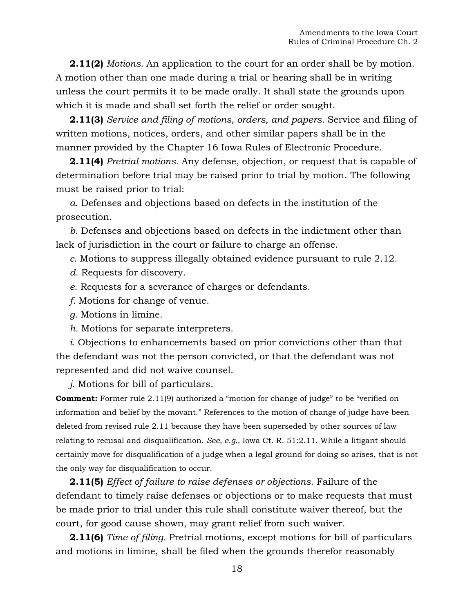**2.11(2)** *Motions.* An application to the court for an order shall be by motion. A motion other than one made during a trial or hearing shall be in writing unless the court permits it to be made orally. It shall state the grounds upon which it is made and shall set forth the relief or order sought.

**2.11(3)** *Service and filing of motions, orders, and papers.* Service and filing of written motions, notices, orders, and other similar papers shall be in the manner provided by the Chapter 16 Iowa Rules of Electronic Procedure.

**2.11(4)** *Pretrial motions.* Any defense, objection, or request that is capable of determination before trial may be raised prior to trial by motion. The following must be raised prior to trial:

*a.* Defenses and objections based on defects in the institution of the prosecution.

*b.* Defenses and objections based on defects in the indictment other than lack of jurisdiction in the court or failure to charge an offense.

*c.* Motions to suppress illegally obtained evidence pursuant to rule 2.12.

- *d.* Requests for discovery.
- *e.* Requests for a severance of charges or defendants.
- *f.* Motions for change of venue.
- *g.* Motions in limine.
- *h.* Motions for separate interpreters.

*i.* Objections to enhancements based on prior convictions other than that the defendant was not the person convicted, or that the defendant was not represented and did not waive counsel.

*j.* Motions for bill of particulars.

**Comment:** Former rule 2.11(9) authorized a "motion for change of judge" to be "verified on information and belief by the movant." References to the motion of change of judge have been deleted from revised rule 2.11 because they have been superseded by other sources of law relating to recusal and disqualification. *See, e.g.*, Iowa Ct. R. 51:2.11. While a litigant should certainly move for disqualification of a judge when a legal ground for doing so arises, that is not the only way for disqualification to occur.

**2.11(5)** *Effect of failure to raise defenses or objections.* Failure of the defendant to timely raise defenses or objections or to make requests that must be made prior to trial under this rule shall constitute waiver thereof, but the court, for good cause shown, may grant relief from such waiver.

**2.11(6)** *Time of filing.* Pretrial motions, except motions for bill of particulars and motions in limine, shall be filed when the grounds therefor reasonably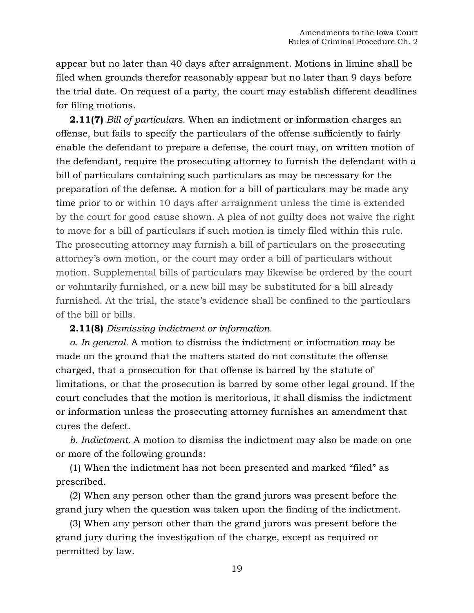appear but no later than 40 days after arraignment. Motions in limine shall be filed when grounds therefor reasonably appear but no later than 9 days before the trial date. On request of a party, the court may establish different deadlines for filing motions.

**2.11(7)** *Bill of particulars.* When an indictment or information charges an offense, but fails to specify the particulars of the offense sufficiently to fairly enable the defendant to prepare a defense, the court may, on written motion of the defendant, require the prosecuting attorney to furnish the defendant with a bill of particulars containing such particulars as may be necessary for the preparation of the defense. A motion for a bill of particulars may be made any time prior to or within 10 days after arraignment unless the time is extended by the court for good cause shown. A plea of not guilty does not waive the right to move for a bill of particulars if such motion is timely filed within this rule. The prosecuting attorney may furnish a bill of particulars on the prosecuting attorney's own motion, or the court may order a bill of particulars without motion. Supplemental bills of particulars may likewise be ordered by the court or voluntarily furnished, or a new bill may be substituted for a bill already furnished. At the trial, the state's evidence shall be confined to the particulars of the bill or bills.

### **2.11(8)** *Dismissing indictment or information.*

*a. In general.* A motion to dismiss the indictment or information may be made on the ground that the matters stated do not constitute the offense charged, that a prosecution for that offense is barred by the statute of limitations, or that the prosecution is barred by some other legal ground. If the court concludes that the motion is meritorious, it shall dismiss the indictment or information unless the prosecuting attorney furnishes an amendment that cures the defect.

*b. Indictment.* A motion to dismiss the indictment may also be made on one or more of the following grounds:

(1) When the indictment has not been presented and marked "filed" as prescribed.

(2) When any person other than the grand jurors was present before the grand jury when the question was taken upon the finding of the indictment.

(3) When any person other than the grand jurors was present before the grand jury during the investigation of the charge, except as required or permitted by law.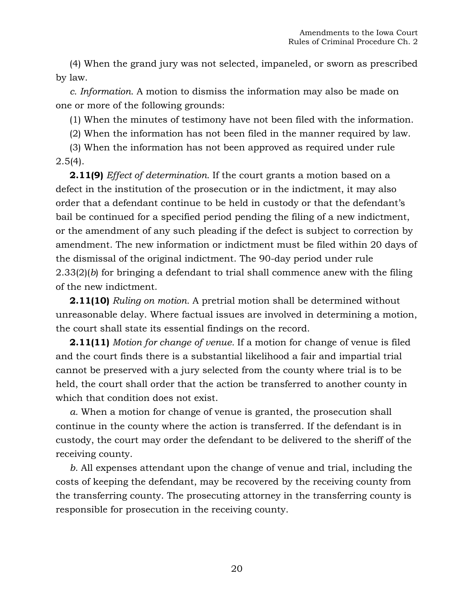(4) When the grand jury was not selected, impaneled, or sworn as prescribed by law.

*c. Information.* A motion to dismiss the information may also be made on one or more of the following grounds:

(1) When the minutes of testimony have not been filed with the information.

(2) When the information has not been filed in the manner required by law.

(3) When the information has not been approved as required under rule  $2.5(4)$ .

**2.11(9)** *Effect of determination.* If the court grants a motion based on a defect in the institution of the prosecution or in the indictment, it may also order that a defendant continue to be held in custody or that the defendant's bail be continued for a specified period pending the filing of a new indictment, or the amendment of any such pleading if the defect is subject to correction by amendment. The new information or indictment must be filed within 20 days of the dismissal of the original indictment. The 90-day period under rule 2.33(2)(*b*) for bringing a defendant to trial shall commence anew with the filing of the new indictment.

**2.11(10)** *Ruling on motion.* A pretrial motion shall be determined without unreasonable delay. Where factual issues are involved in determining a motion, the court shall state its essential findings on the record.

**2.11(11)** *Motion for change of venue.* If a motion for change of venue is filed and the court finds there is a substantial likelihood a fair and impartial trial cannot be preserved with a jury selected from the county where trial is to be held, the court shall order that the action be transferred to another county in which that condition does not exist.

*a.* When a motion for change of venue is granted, the prosecution shall continue in the county where the action is transferred. If the defendant is in custody, the court may order the defendant to be delivered to the sheriff of the receiving county.

*b.* All expenses attendant upon the change of venue and trial, including the costs of keeping the defendant, may be recovered by the receiving county from the transferring county. The prosecuting attorney in the transferring county is responsible for prosecution in the receiving county.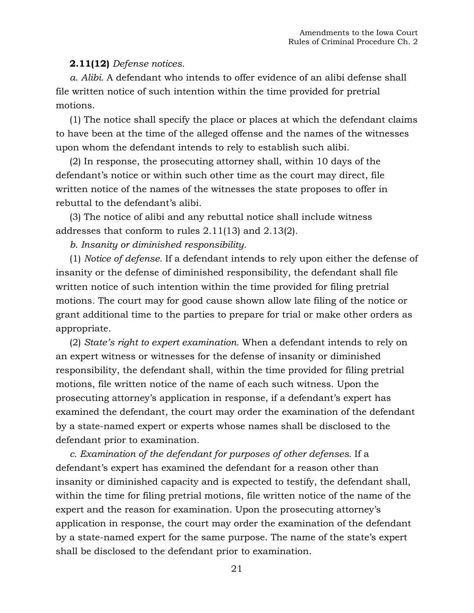## **2.11(12)** *Defense notices.*

*a. Alibi.* A defendant who intends to offer evidence of an alibi defense shall file written notice of such intention within the time provided for pretrial motions.

(1) The notice shall specify the place or places at which the defendant claims to have been at the time of the alleged offense and the names of the witnesses upon whom the defendant intends to rely to establish such alibi.

(2) In response, the prosecuting attorney shall, within 10 days of the defendant's notice or within such other time as the court may direct, file written notice of the names of the witnesses the state proposes to offer in rebuttal to the defendant's alibi.

(3) The notice of alibi and any rebuttal notice shall include witness addresses that conform to rules 2.11(13) and 2.13(2).

*b. Insanity or diminished responsibility.*

(1) *Notice of defense.* If a defendant intends to rely upon either the defense of insanity or the defense of diminished responsibility, the defendant shall file written notice of such intention within the time provided for filing pretrial motions. The court may for good cause shown allow late filing of the notice or grant additional time to the parties to prepare for trial or make other orders as appropriate.

(2) *State's right to expert examination.* When a defendant intends to rely on an expert witness or witnesses for the defense of insanity or diminished responsibility, the defendant shall, within the time provided for filing pretrial motions, file written notice of the name of each such witness. Upon the prosecuting attorney's application in response, if a defendant's expert has examined the defendant, the court may order the examination of the defendant by a state-named expert or experts whose names shall be disclosed to the defendant prior to examination.

*c. Examination of the defendant for purposes of other defenses.* If a defendant's expert has examined the defendant for a reason other than insanity or diminished capacity and is expected to testify, the defendant shall, within the time for filing pretrial motions, file written notice of the name of the expert and the reason for examination. Upon the prosecuting attorney's application in response, the court may order the examination of the defendant by a state-named expert for the same purpose. The name of the state's expert shall be disclosed to the defendant prior to examination.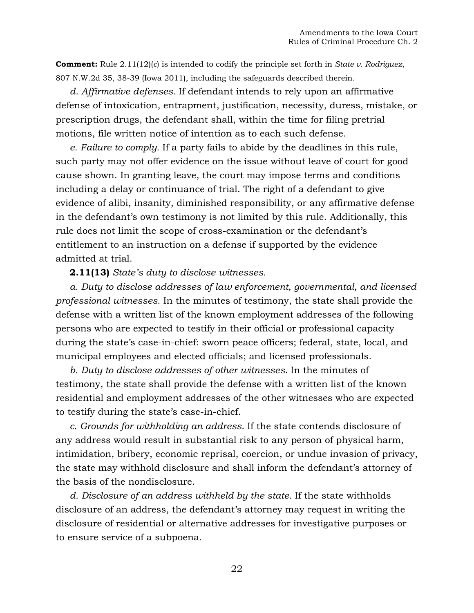**Comment:** Rule 2.11(12)(*c*) is intended to codify the principle set forth in *State v. Rodriguez*, 807 N.W.2d 35, 38-39 (Iowa 2011), including the safeguards described therein.

*d. Affirmative defenses.* If defendant intends to rely upon an affirmative defense of intoxication, entrapment, justification, necessity, duress, mistake, or prescription drugs, the defendant shall, within the time for filing pretrial motions, file written notice of intention as to each such defense.

*e. Failure to comply.* If a party fails to abide by the deadlines in this rule, such party may not offer evidence on the issue without leave of court for good cause shown. In granting leave, the court may impose terms and conditions including a delay or continuance of trial. The right of a defendant to give evidence of alibi, insanity, diminished responsibility, or any affirmative defense in the defendant's own testimony is not limited by this rule. Additionally, this rule does not limit the scope of cross-examination or the defendant's entitlement to an instruction on a defense if supported by the evidence admitted at trial.

### **2.11(13)** *State's duty to disclose witnesses.*

*a. Duty to disclose addresses of law enforcement, governmental, and licensed professional witnesses.* In the minutes of testimony, the state shall provide the defense with a written list of the known employment addresses of the following persons who are expected to testify in their official or professional capacity during the state's case-in-chief: sworn peace officers; federal, state, local, and municipal employees and elected officials; and licensed professionals.

*b. Duty to disclose addresses of other witnesses.* In the minutes of testimony, the state shall provide the defense with a written list of the known residential and employment addresses of the other witnesses who are expected to testify during the state's case-in-chief.

*c. Grounds for withholding an address.* If the state contends disclosure of any address would result in substantial risk to any person of physical harm, intimidation, bribery, economic reprisal, coercion, or undue invasion of privacy, the state may withhold disclosure and shall inform the defendant's attorney of the basis of the nondisclosure.

*d. Disclosure of an address withheld by the state.* If the state withholds disclosure of an address, the defendant's attorney may request in writing the disclosure of residential or alternative addresses for investigative purposes or to ensure service of a subpoena.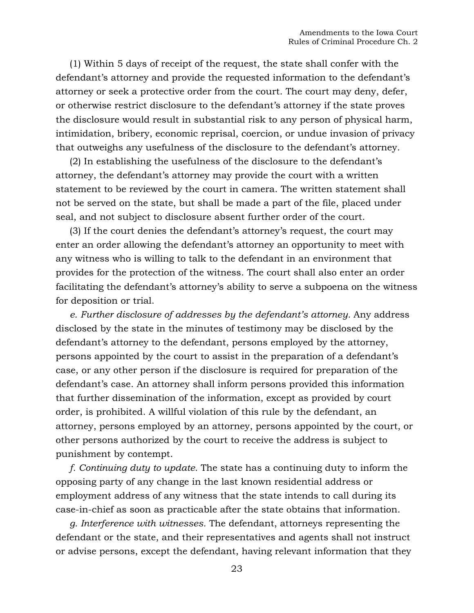(1) Within 5 days of receipt of the request, the state shall confer with the defendant's attorney and provide the requested information to the defendant's attorney or seek a protective order from the court. The court may deny, defer, or otherwise restrict disclosure to the defendant's attorney if the state proves the disclosure would result in substantial risk to any person of physical harm, intimidation, bribery, economic reprisal, coercion, or undue invasion of privacy that outweighs any usefulness of the disclosure to the defendant's attorney.

(2) In establishing the usefulness of the disclosure to the defendant's attorney, the defendant's attorney may provide the court with a written statement to be reviewed by the court in camera. The written statement shall not be served on the state, but shall be made a part of the file, placed under seal, and not subject to disclosure absent further order of the court.

(3) If the court denies the defendant's attorney's request, the court may enter an order allowing the defendant's attorney an opportunity to meet with any witness who is willing to talk to the defendant in an environment that provides for the protection of the witness. The court shall also enter an order facilitating the defendant's attorney's ability to serve a subpoena on the witness for deposition or trial.

*e. Further disclosure of addresses by the defendant's attorney.* Any address disclosed by the state in the minutes of testimony may be disclosed by the defendant's attorney to the defendant, persons employed by the attorney, persons appointed by the court to assist in the preparation of a defendant's case, or any other person if the disclosure is required for preparation of the defendant's case. An attorney shall inform persons provided this information that further dissemination of the information, except as provided by court order, is prohibited. A willful violation of this rule by the defendant, an attorney, persons employed by an attorney, persons appointed by the court, or other persons authorized by the court to receive the address is subject to punishment by contempt.

*f. Continuing duty to update.* The state has a continuing duty to inform the opposing party of any change in the last known residential address or employment address of any witness that the state intends to call during its case-in-chief as soon as practicable after the state obtains that information.

*g. Interference with witnesses.* The defendant, attorneys representing the defendant or the state, and their representatives and agents shall not instruct or advise persons, except the defendant, having relevant information that they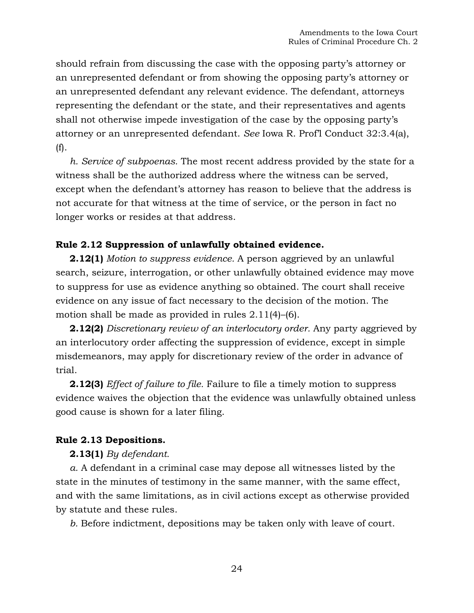should refrain from discussing the case with the opposing party's attorney or an unrepresented defendant or from showing the opposing party's attorney or an unrepresented defendant any relevant evidence. The defendant, attorneys representing the defendant or the state, and their representatives and agents shall not otherwise impede investigation of the case by the opposing party's attorney or an unrepresented defendant. *See* Iowa R. Prof'l Conduct 32:3.4(a), (f).

*h. Service of subpoenas.* The most recent address provided by the state for a witness shall be the authorized address where the witness can be served, except when the defendant's attorney has reason to believe that the address is not accurate for that witness at the time of service, or the person in fact no longer works or resides at that address.

### **Rule 2.12 Suppression of unlawfully obtained evidence.**

**2.12(1)** *Motion to suppress evidence.* A person aggrieved by an unlawful search, seizure, interrogation, or other unlawfully obtained evidence may move to suppress for use as evidence anything so obtained. The court shall receive evidence on any issue of fact necessary to the decision of the motion. The motion shall be made as provided in rules 2.11(4)–(6).

**2.12(2)** *Discretionary review of an interlocutory order.* Any party aggrieved by an interlocutory order affecting the suppression of evidence, except in simple misdemeanors, may apply for discretionary review of the order in advance of trial.

**2.12(3)** *Effect of failure to file.* Failure to file a timely motion to suppress evidence waives the objection that the evidence was unlawfully obtained unless good cause is shown for a later filing.

### **Rule 2.13 Depositions.**

#### **2.13(1)** *By defendant.*

*a.* A defendant in a criminal case may depose all witnesses listed by the state in the minutes of testimony in the same manner, with the same effect, and with the same limitations, as in civil actions except as otherwise provided by statute and these rules.

*b.* Before indictment, depositions may be taken only with leave of court.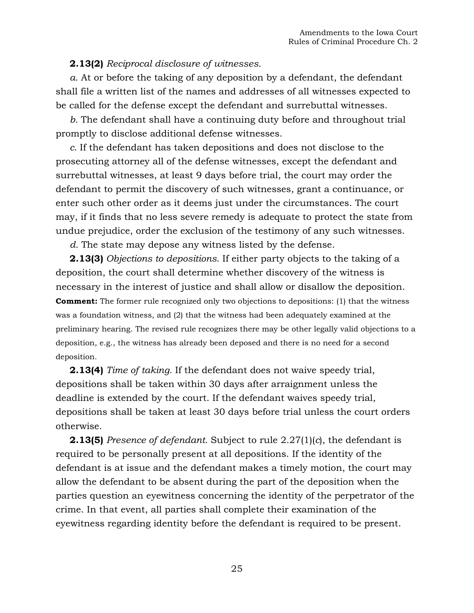## **2.13(2)** *Reciprocal disclosure of witnesses.*

*a.* At or before the taking of any deposition by a defendant, the defendant shall file a written list of the names and addresses of all witnesses expected to be called for the defense except the defendant and surrebuttal witnesses.

*b.* The defendant shall have a continuing duty before and throughout trial promptly to disclose additional defense witnesses.

*c.* If the defendant has taken depositions and does not disclose to the prosecuting attorney all of the defense witnesses, except the defendant and surrebuttal witnesses, at least 9 days before trial, the court may order the defendant to permit the discovery of such witnesses, grant a continuance, or enter such other order as it deems just under the circumstances. The court may, if it finds that no less severe remedy is adequate to protect the state from undue prejudice, order the exclusion of the testimony of any such witnesses.

*d.* The state may depose any witness listed by the defense.

**2.13(3)** *Objections to depositions.* If either party objects to the taking of a deposition, the court shall determine whether discovery of the witness is necessary in the interest of justice and shall allow or disallow the deposition. **Comment:** The former rule recognized only two objections to depositions: (1) that the witness was a foundation witness, and (2) that the witness had been adequately examined at the preliminary hearing. The revised rule recognizes there may be other legally valid objections to a deposition, e.g., the witness has already been deposed and there is no need for a second deposition.

**2.13(4)** *Time of taking.* If the defendant does not waive speedy trial, depositions shall be taken within 30 days after arraignment unless the deadline is extended by the court. If the defendant waives speedy trial, depositions shall be taken at least 30 days before trial unless the court orders otherwise.

**2.13(5)** *Presence of defendant.* Subject to rule 2.27(1)(*c*), the defendant is required to be personally present at all depositions. If the identity of the defendant is at issue and the defendant makes a timely motion, the court may allow the defendant to be absent during the part of the deposition when the parties question an eyewitness concerning the identity of the perpetrator of the crime. In that event, all parties shall complete their examination of the eyewitness regarding identity before the defendant is required to be present.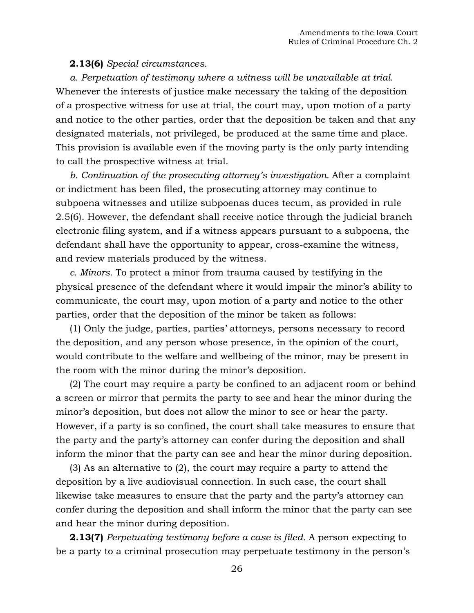#### **2.13(6)** *Special circumstances.*

*a. Perpetuation of testimony where a witness will be unavailable at trial.* Whenever the interests of justice make necessary the taking of the deposition of a prospective witness for use at trial, the court may, upon motion of a party and notice to the other parties, order that the deposition be taken and that any designated materials, not privileged, be produced at the same time and place. This provision is available even if the moving party is the only party intending to call the prospective witness at trial.

*b. Continuation of the prosecuting attorney's investigation.* After a complaint or indictment has been filed, the prosecuting attorney may continue to subpoena witnesses and utilize subpoenas duces tecum, as provided in rule 2.5(6). However, the defendant shall receive notice through the judicial branch electronic filing system, and if a witness appears pursuant to a subpoena, the defendant shall have the opportunity to appear, cross-examine the witness, and review materials produced by the witness.

*c. Minors.* To protect a minor from trauma caused by testifying in the physical presence of the defendant where it would impair the minor's ability to communicate, the court may, upon motion of a party and notice to the other parties, order that the deposition of the minor be taken as follows:

(1) Only the judge, parties, parties' attorneys, persons necessary to record the deposition, and any person whose presence, in the opinion of the court, would contribute to the welfare and wellbeing of the minor, may be present in the room with the minor during the minor's deposition.

(2) The court may require a party be confined to an adjacent room or behind a screen or mirror that permits the party to see and hear the minor during the minor's deposition, but does not allow the minor to see or hear the party. However, if a party is so confined, the court shall take measures to ensure that the party and the party's attorney can confer during the deposition and shall inform the minor that the party can see and hear the minor during deposition.

(3) As an alternative to (2), the court may require a party to attend the deposition by a live audiovisual connection. In such case, the court shall likewise take measures to ensure that the party and the party's attorney can confer during the deposition and shall inform the minor that the party can see and hear the minor during deposition.

**2.13(7)** *Perpetuating testimony before a case is filed.* A person expecting to be a party to a criminal prosecution may perpetuate testimony in the person's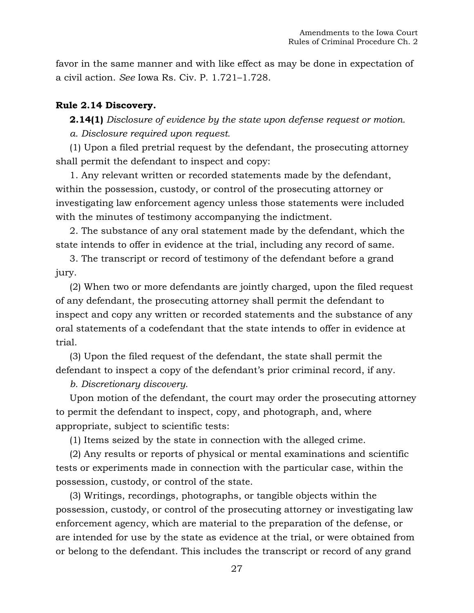favor in the same manner and with like effect as may be done in expectation of a civil action. *See* Iowa Rs. Civ. P. 1.721–1.728.

## **Rule 2.14 Discovery.**

**2.14(1)** *Disclosure of evidence by the state upon defense request or motion. a. Disclosure required upon request.*

(1) Upon a filed pretrial request by the defendant, the prosecuting attorney shall permit the defendant to inspect and copy:

1. Any relevant written or recorded statements made by the defendant, within the possession, custody, or control of the prosecuting attorney or investigating law enforcement agency unless those statements were included with the minutes of testimony accompanying the indictment.

2. The substance of any oral statement made by the defendant, which the state intends to offer in evidence at the trial, including any record of same.

3. The transcript or record of testimony of the defendant before a grand jury.

(2) When two or more defendants are jointly charged, upon the filed request of any defendant, the prosecuting attorney shall permit the defendant to inspect and copy any written or recorded statements and the substance of any oral statements of a codefendant that the state intends to offer in evidence at trial.

(3) Upon the filed request of the defendant, the state shall permit the defendant to inspect a copy of the defendant's prior criminal record, if any.

## *b. Discretionary discovery.*

Upon motion of the defendant, the court may order the prosecuting attorney to permit the defendant to inspect, copy, and photograph, and, where appropriate, subject to scientific tests:

(1) Items seized by the state in connection with the alleged crime.

(2) Any results or reports of physical or mental examinations and scientific tests or experiments made in connection with the particular case, within the possession, custody, or control of the state.

(3) Writings, recordings, photographs, or tangible objects within the possession, custody, or control of the prosecuting attorney or investigating law enforcement agency, which are material to the preparation of the defense, or are intended for use by the state as evidence at the trial, or were obtained from or belong to the defendant. This includes the transcript or record of any grand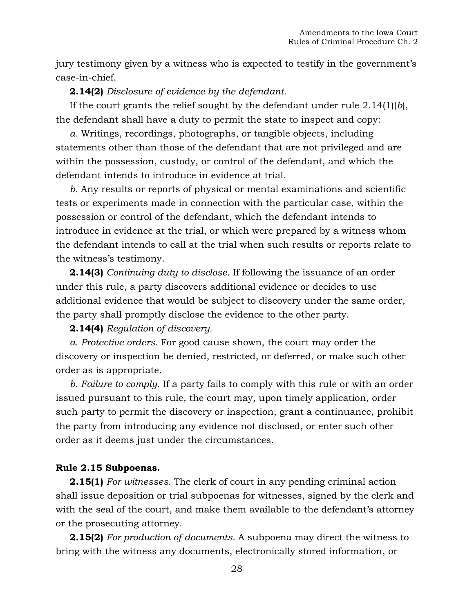jury testimony given by a witness who is expected to testify in the government's case-in-chief.

## **2.14(2)** *Disclosure of evidence by the defendant.*

If the court grants the relief sought by the defendant under rule 2.14(1)(*b*), the defendant shall have a duty to permit the state to inspect and copy:

*a.* Writings, recordings, photographs, or tangible objects, including statements other than those of the defendant that are not privileged and are within the possession, custody, or control of the defendant, and which the defendant intends to introduce in evidence at trial.

*b.* Any results or reports of physical or mental examinations and scientific tests or experiments made in connection with the particular case, within the possession or control of the defendant, which the defendant intends to introduce in evidence at the trial, or which were prepared by a witness whom the defendant intends to call at the trial when such results or reports relate to the witness's testimony.

**2.14(3)** *Continuing duty to disclose.* If following the issuance of an order under this rule, a party discovers additional evidence or decides to use additional evidence that would be subject to discovery under the same order, the party shall promptly disclose the evidence to the other party.

**2.14(4)** *Regulation of discovery.*

*a. Protective orders.* For good cause shown, the court may order the discovery or inspection be denied, restricted, or deferred, or make such other order as is appropriate.

*b. Failure to comply.* If a party fails to comply with this rule or with an order issued pursuant to this rule, the court may, upon timely application, order such party to permit the discovery or inspection, grant a continuance, prohibit the party from introducing any evidence not disclosed, or enter such other order as it deems just under the circumstances.

### **Rule 2.15 Subpoenas.**

**2.15(1)** *For witnesses.* The clerk of court in any pending criminal action shall issue deposition or trial subpoenas for witnesses, signed by the clerk and with the seal of the court, and make them available to the defendant's attorney or the prosecuting attorney.

**2.15(2)** *For production of documents.* A subpoena may direct the witness to bring with the witness any documents, electronically stored information, or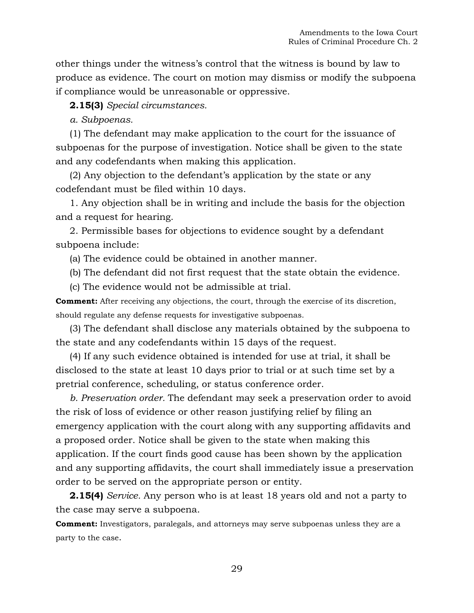other things under the witness's control that the witness is bound by law to produce as evidence. The court on motion may dismiss or modify the subpoena if compliance would be unreasonable or oppressive.

**2.15(3)** *Special circumstances.*

*a. Subpoenas.*

(1) The defendant may make application to the court for the issuance of subpoenas for the purpose of investigation. Notice shall be given to the state and any codefendants when making this application.

(2) Any objection to the defendant's application by the state or any codefendant must be filed within 10 days.

1. Any objection shall be in writing and include the basis for the objection and a request for hearing.

2. Permissible bases for objections to evidence sought by a defendant subpoena include:

(a) The evidence could be obtained in another manner.

(b) The defendant did not first request that the state obtain the evidence.

(c) The evidence would not be admissible at trial.

**Comment:** After receiving any objections, the court, through the exercise of its discretion, should regulate any defense requests for investigative subpoenas.

(3) The defendant shall disclose any materials obtained by the subpoena to the state and any codefendants within 15 days of the request.

(4) If any such evidence obtained is intended for use at trial, it shall be disclosed to the state at least 10 days prior to trial or at such time set by a pretrial conference, scheduling, or status conference order.

*b. Preservation order.* The defendant may seek a preservation order to avoid the risk of loss of evidence or other reason justifying relief by filing an emergency application with the court along with any supporting affidavits and a proposed order. Notice shall be given to the state when making this application. If the court finds good cause has been shown by the application and any supporting affidavits, the court shall immediately issue a preservation order to be served on the appropriate person or entity.

**2.15(4)** *Service.* Any person who is at least 18 years old and not a party to the case may serve a subpoena.

**Comment:** Investigators, paralegals, and attorneys may serve subpoenas unless they are a party to the case.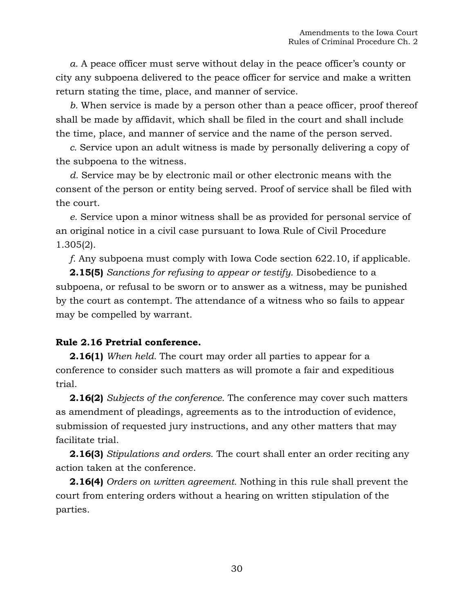*a.* A peace officer must serve without delay in the peace officer's county or city any subpoena delivered to the peace officer for service and make a written return stating the time, place, and manner of service.

*b.* When service is made by a person other than a peace officer, proof thereof shall be made by affidavit, which shall be filed in the court and shall include the time, place, and manner of service and the name of the person served.

*c.* Service upon an adult witness is made by personally delivering a copy of the subpoena to the witness.

*d.* Service may be by electronic mail or other electronic means with the consent of the person or entity being served. Proof of service shall be filed with the court.

*e.* Service upon a minor witness shall be as provided for personal service of an original notice in a civil case pursuant to Iowa Rule [of Civil Procedure](https://1.next.westlaw.com/Link/Document/FullText?findType=L&pubNum=1016823&cite=IAR1.305&originatingDoc=NA805FE501B1111DAB311FB76B2E4F553&refType=LQ&originationContext=document&transitionType=DocumentItem&contextData=(sc.Document))  [1.305\(2\).](https://1.next.westlaw.com/Link/Document/FullText?findType=L&pubNum=1016823&cite=IAR1.305&originatingDoc=NA805FE501B1111DAB311FB76B2E4F553&refType=LQ&originationContext=document&transitionType=DocumentItem&contextData=(sc.Document))

*f.* Any subpoena must comply with Iowa Code section 622.10, if applicable.

**2.15(5)** *Sanctions for refusing to appear or testify.* Disobedience to a subpoena, or refusal to be sworn or to answer as a witness, may be punished by the court as contempt. The attendance of a witness who so fails to appear may be compelled by warrant.

### **Rule 2.16 Pretrial conference.**

**2.16(1)** *When held.* The court may order all parties to appear for a conference to consider such matters as will promote a fair and expeditious trial.

**2.16(2)** *Subjects of the conference.* The conference may cover such matters as amendment of pleadings, agreements as to the introduction of evidence, submission of requested jury instructions, and any other matters that may facilitate trial.

**2.16(3)** *Stipulations and orders.* The court shall enter an order reciting any action taken at the conference.

**2.16(4)** *Orders on written agreement.* Nothing in this rule shall prevent the court from entering orders without a hearing on written stipulation of the parties.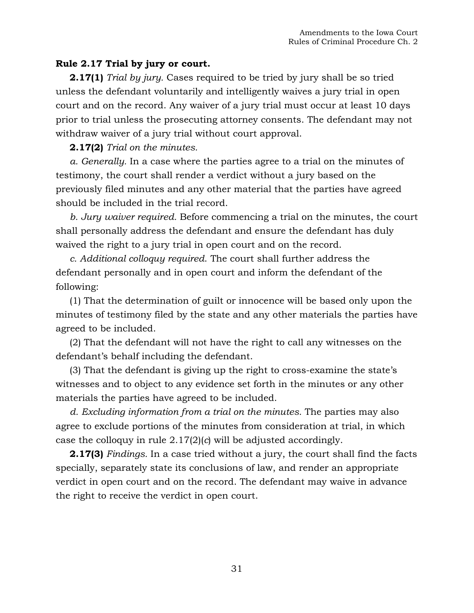## **Rule 2.17 Trial by jury or court.**

**2.17(1)** *Trial by jury.* Cases required to be tried by jury shall be so tried unless the defendant voluntarily and intelligently waives a jury trial in open court and on the record. Any waiver of a jury trial must occur at least 10 days prior to trial unless the prosecuting attorney consents. The defendant may not withdraw waiver of a jury trial without court approval.

## **2.17(2)** *Trial on the minutes.*

*a. Generally.* In a case where the parties agree to a trial on the minutes of testimony, the court shall render a verdict without a jury based on the previously filed minutes and any other material that the parties have agreed should be included in the trial record.

*b. Jury waiver required.* Before commencing a trial on the minutes, the court shall personally address the defendant and ensure the defendant has duly waived the right to a jury trial in open court and on the record.

*c. Additional colloquy required*. The court shall further address the defendant personally and in open court and inform the defendant of the following:

(1) That the determination of guilt or innocence will be based only upon the minutes of testimony filed by the state and any other materials the parties have agreed to be included.

(2) That the defendant will not have the right to call any witnesses on the defendant's behalf including the defendant.

(3) That the defendant is giving up the right to cross-examine the state's witnesses and to object to any evidence set forth in the minutes or any other materials the parties have agreed to be included.

*d. Excluding information from a trial on the minutes.* The parties may also agree to exclude portions of the minutes from consideration at trial, in which case the colloquy in rule 2.17(2)(*c*) will be adjusted accordingly.

**2.17(3)** *Findings.* In a case tried without a jury, the court shall find the facts specially, separately state its conclusions of law, and render an appropriate verdict in open court and on the record. The defendant may waive in advance the right to receive the verdict in open court.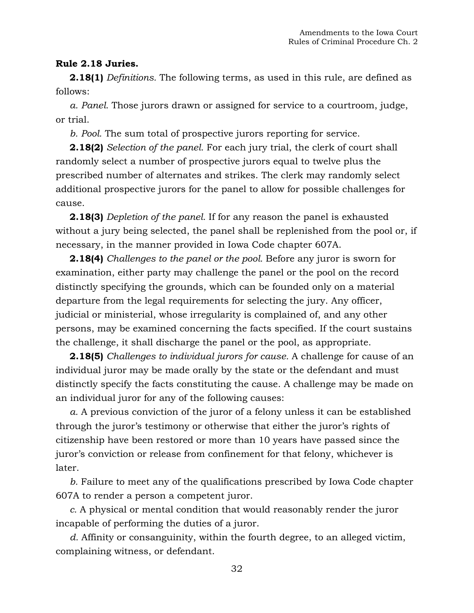## **Rule 2.18 Juries.**

**2.18(1)** *Definitions.* The following terms, as used in this rule, are defined as follows:

*a. Panel.* Those jurors drawn or assigned for service to a courtroom, judge, or trial.

*b. Pool.* The sum total of prospective jurors reporting for service.

**2.18(2)** *Selection of the panel.* For each jury trial, the clerk of court shall randomly select a number of prospective jurors equal to twelve plus the prescribed number of alternates and strikes. The clerk may randomly select additional prospective jurors for the panel to allow for possible challenges for cause.

**2.18(3)** *Depletion of the panel.* If for any reason the panel is exhausted without a jury being selected, the panel shall be replenished from the pool or, if necessary, in the manner provided in Iowa Code chapter 607A.

**2.18(4)** *Challenges to the panel or the pool.* Before any juror is sworn for examination, either party may challenge the panel or the pool on the record distinctly specifying the grounds, which can be founded only on a material departure from the legal requirements for selecting the jury. Any officer, judicial or ministerial, whose irregularity is complained of, and any other persons, may be examined concerning the facts specified. If the court sustains the challenge, it shall discharge the panel or the pool, as appropriate.

**2.18(5)** *Challenges to individual jurors for cause.* A challenge for cause of an individual juror may be made orally by the state or the defendant and must distinctly specify the facts constituting the cause. A challenge may be made on an individual juror for any of the following causes:

*a.* A previous conviction of the juror of a felony unless it can be established through the juror's testimony or otherwise that either the juror's rights of citizenship have been restored or more than 10 years have passed since the juror's conviction or release from confinement for that felony, whichever is later.

*b.* Failure to meet any of the qualifications prescribed by Iowa Code chapter 607A to render a person a competent juror.

*c.* A physical or mental condition that would reasonably render the juror incapable of performing the duties of a juror.

*d.* Affinity or consanguinity, within the fourth degree, to an alleged victim, complaining witness, or defendant.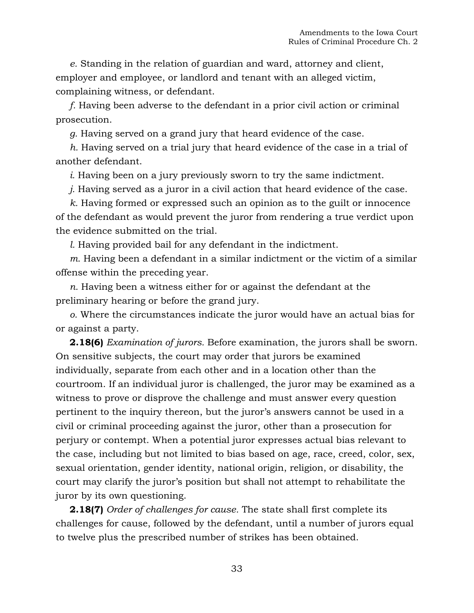*e.* Standing in the relation of guardian and ward, attorney and client, employer and employee, or landlord and tenant with an alleged victim, complaining witness, or defendant.

*f.* Having been adverse to the defendant in a prior civil action or criminal prosecution.

*g.* Having served on a grand jury that heard evidence of the case.

*h.* Having served on a trial jury that heard evidence of the case in a trial of another defendant.

*i.* Having been on a jury previously sworn to try the same indictment.

*j.* Having served as a juror in a civil action that heard evidence of the case.

*k.* Having formed or expressed such an opinion as to the guilt or innocence of the defendant as would prevent the juror from rendering a true verdict upon the evidence submitted on the trial.

*l.* Having provided bail for any defendant in the indictment.

*m.* Having been a defendant in a similar indictment or the victim of a similar offense within the preceding year.

*n.* Having been a witness either for or against the defendant at the preliminary hearing or before the grand jury.

*o.* Where the circumstances indicate the juror would have an actual bias for or against a party.

**2.18(6)** *Examination of jurors.* Before examination, the jurors shall be sworn. On sensitive subjects, the court may order that jurors be examined individually, separate from each other and in a location other than the courtroom. If an individual juror is challenged, the juror may be examined as a witness to prove or disprove the challenge and must answer every question pertinent to the inquiry thereon, but the juror's answers cannot be used in a civil or criminal proceeding against the juror, other than a prosecution for perjury or contempt. When a potential juror expresses actual bias relevant to the case, including but not limited to bias based on age, race, creed, color, sex, sexual orientation, gender identity, national origin, religion, or disability, the court may clarify the juror's position but shall not attempt to rehabilitate the juror by its own questioning.

**2.18(7)** *Order of challenges for cause.* The state shall first complete its challenges for cause, followed by the defendant, until a number of jurors equal to twelve plus the prescribed number of strikes has been obtained.

33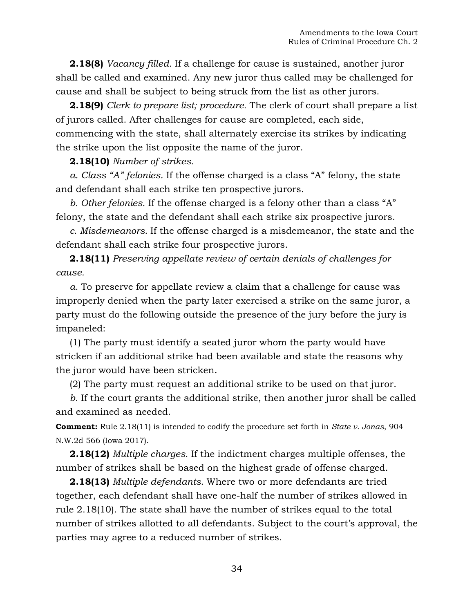**2.18(8)** *Vacancy filled.* If a challenge for cause is sustained, another juror shall be called and examined. Any new juror thus called may be challenged for cause and shall be subject to being struck from the list as other jurors.

**2.18(9)** *Clerk to prepare list; procedure.* The clerk of court shall prepare a list of jurors called. After challenges for cause are completed, each side, commencing with the state, shall alternately exercise its strikes by indicating the strike upon the list opposite the name of the juror.

### **2.18(10)** *Number of strikes.*

*a. Class "A" felonies.* If the offense charged is a class "A" felony, the state and defendant shall each strike ten prospective jurors.

*b. Other felonies.* If the offense charged is a felony other than a class "A" felony, the state and the defendant shall each strike six prospective jurors.

*c. Misdemeanors.* If the offense charged is a misdemeanor, the state and the defendant shall each strike four prospective jurors.

**2.18(11)** *Preserving appellate review of certain denials of challenges for cause.*

*a.* To preserve for appellate review a claim that a challenge for cause was improperly denied when the party later exercised a strike on the same juror, a party must do the following outside the presence of the jury before the jury is impaneled:

(1) The party must identify a seated juror whom the party would have stricken if an additional strike had been available and state the reasons why the juror would have been stricken.

(2) The party must request an additional strike to be used on that juror.

*b.* If the court grants the additional strike, then another juror shall be called and examined as needed.

**Comment:** Rule 2.18(11) is intended to codify the procedure set forth in *State v. Jonas*, 904 N.W.2d 566 (Iowa 2017).

**2.18(12)** *Multiple charges.* If the indictment charges multiple offenses, the number of strikes shall be based on the highest grade of offense charged.

**2.18(13)** *Multiple defendants.* Where two or more defendants are tried together, each defendant shall have one-half the number of strikes allowed in rule 2.18(10). The state shall have the number of strikes equal to the total number of strikes allotted to all defendants. Subject to the court's approval, the parties may agree to a reduced number of strikes.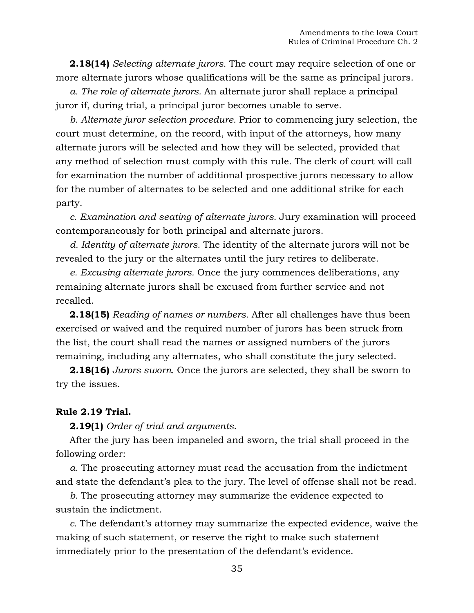**2.18(14)** *Selecting alternate jurors.* The court may require selection of one or more alternate jurors whose qualifications will be the same as principal jurors.

*a. The role of alternate jurors.* An alternate juror shall replace a principal juror if, during trial, a principal juror becomes unable to serve.

*b. Alternate juror selection procedure.* Prior to commencing jury selection, the court must determine, on the record, with input of the attorneys, how many alternate jurors will be selected and how they will be selected, provided that any method of selection must comply with this rule. The clerk of court will call for examination the number of additional prospective jurors necessary to allow for the number of alternates to be selected and one additional strike for each party.

*c. Examination and seating of alternate jurors.* Jury examination will proceed contemporaneously for both principal and alternate jurors.

*d. Identity of alternate jurors.* The identity of the alternate jurors will not be revealed to the jury or the alternates until the jury retires to deliberate.

*e. Excusing alternate jurors.* Once the jury commences deliberations, any remaining alternate jurors shall be excused from further service and not recalled.

**2.18(15)** *Reading of names or numbers.* After all challenges have thus been exercised or waived and the required number of jurors has been struck from the list, the court shall read the names or assigned numbers of the jurors remaining, including any alternates, who shall constitute the jury selected.

**2.18(16)** *Jurors sworn.* Once the jurors are selected, they shall be sworn to try the issues.

### **Rule 2.19 Trial.**

**2.19(1)** *Order of trial and arguments.*

After the jury has been impaneled and sworn, the trial shall proceed in the following order:

*a.* The prosecuting attorney must read the accusation from the indictment and state the defendant's plea to the jury. The level of offense shall not be read.

*b.* The prosecuting attorney may summarize the evidence expected to sustain the indictment.

*c.* The defendant's attorney may summarize the expected evidence, waive the making of such statement, or reserve the right to make such statement immediately prior to the presentation of the defendant's evidence.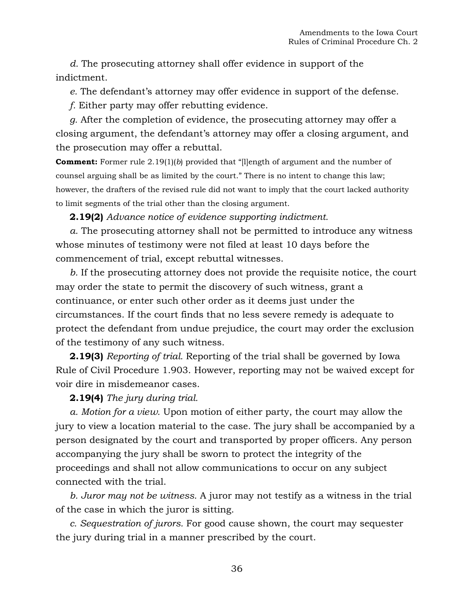*d.* The prosecuting attorney shall offer evidence in support of the indictment.

*e.* The defendant's attorney may offer evidence in support of the defense.

*f.* Either party may offer rebutting evidence.

*g.* After the completion of evidence, the prosecuting attorney may offer a closing argument, the defendant's attorney may offer a closing argument, and the prosecution may offer a rebuttal.

**Comment:** Former rule 2.19(1)(*b*) provided that "[l]ength of argument and the number of counsel arguing shall be as limited by the court." There is no intent to change this law; however, the drafters of the revised rule did not want to imply that the court lacked authority to limit segments of the trial other than the closing argument.

**2.19(2)** *Advance notice of evidence supporting indictment.*

*a.* The prosecuting attorney shall not be permitted to introduce any witness whose minutes of testimony were not filed at least 10 days before the commencement of trial, except rebuttal witnesses.

*b.* If the prosecuting attorney does not provide the requisite notice, the court may order the state to permit the discovery of such witness, grant a continuance, or enter such other order as it deems just under the circumstances. If the court finds that no less severe remedy is adequate to protect the defendant from undue prejudice, the court may order the exclusion of the testimony of any such witness.

**2.19(3)** *Reporting of trial.* Reporting of the trial shall be governed by Iowa Rule of Civil Procedure 1.903. However, reporting may not be waived except for voir dire in misdemeanor cases.

## **2.19(4)** *The jury during trial.*

*a. Motion for a view.* Upon motion of either party, the court may allow the jury to view a location material to the case. The jury shall be accompanied by a person designated by the court and transported by proper officers. Any person accompanying the jury shall be sworn to protect the integrity of the proceedings and shall not allow communications to occur on any subject connected with the trial.

*b. Juror may not be witness.* A juror may not testify as a witness in the trial of the case in which the juror is sitting.

*c. Sequestration of jurors.* For good cause shown, the court may sequester the jury during trial in a manner prescribed by the court.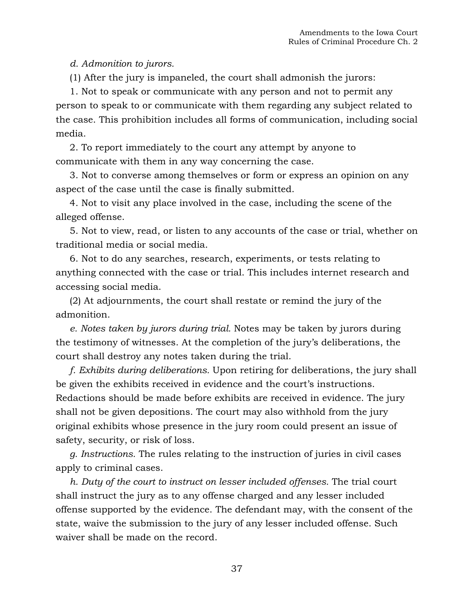*d. Admonition to jurors.*

(1) After the jury is impaneled, the court shall admonish the jurors:

1. Not to speak or communicate with any person and not to permit any person to speak to or communicate with them regarding any subject related to the case. This prohibition includes all forms of communication, including social media.

2. To report immediately to the court any attempt by anyone to communicate with them in any way concerning the case.

3. Not to converse among themselves or form or express an opinion on any aspect of the case until the case is finally submitted.

4. Not to visit any place involved in the case, including the scene of the alleged offense.

5. Not to view, read, or listen to any accounts of the case or trial, whether on traditional media or social media.

6. Not to do any searches, research, experiments, or tests relating to anything connected with the case or trial. This includes internet research and accessing social media.

(2) At adjournments, the court shall restate or remind the jury of the admonition.

*e. Notes taken by jurors during trial.* Notes may be taken by jurors during the testimony of witnesses. At the completion of the jury's deliberations, the court shall destroy any notes taken during the trial.

*f. Exhibits during deliberations.* Upon retiring for deliberations, the jury shall be given the exhibits received in evidence and the court's instructions. Redactions should be made before exhibits are received in evidence. The jury shall not be given depositions. The court may also withhold from the jury original exhibits whose presence in the jury room could present an issue of safety, security, or risk of loss.

*g. Instructions.* The rules relating to the instruction of juries in civil cases apply to criminal cases.

*h. Duty of the court to instruct on lesser included offenses.* The trial court shall instruct the jury as to any offense charged and any lesser included offense supported by the evidence. The defendant may, with the consent of the state, waive the submission to the jury of any lesser included offense. Such waiver shall be made on the record.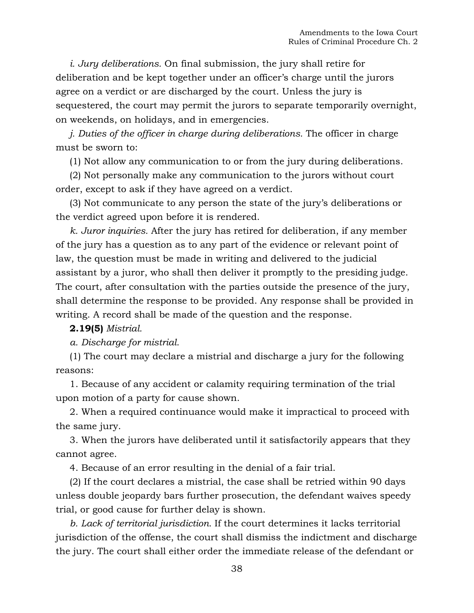*i. Jury deliberations.* On final submission, the jury shall retire for deliberation and be kept together under an officer's charge until the jurors agree on a verdict or are discharged by the court. Unless the jury is sequestered, the court may permit the jurors to separate temporarily overnight, on weekends, on holidays, and in emergencies.

*j. Duties of the officer in charge during deliberations.* The officer in charge must be sworn to:

(1) Not allow any communication to or from the jury during deliberations.

(2) Not personally make any communication to the jurors without court order, except to ask if they have agreed on a verdict.

(3) Not communicate to any person the state of the jury's deliberations or the verdict agreed upon before it is rendered.

*k. Juror inquiries.* After the jury has retired for deliberation, if any member of the jury has a question as to any part of the evidence or relevant point of law, the question must be made in writing and delivered to the judicial assistant by a juror, who shall then deliver it promptly to the presiding judge. The court, after consultation with the parties outside the presence of the jury, shall determine the response to be provided. Any response shall be provided in writing. A record shall be made of the question and the response.

### **2.19(5)** *Mistrial.*

*a. Discharge for mistrial.*

(1) The court may declare a mistrial and discharge a jury for the following reasons:

1. Because of any accident or calamity requiring termination of the trial upon motion of a party for cause shown.

2. When a required continuance would make it impractical to proceed with the same jury.

3. When the jurors have deliberated until it satisfactorily appears that they cannot agree.

4. Because of an error resulting in the denial of a fair trial.

(2) If the court declares a mistrial, the case shall be retried within 90 days unless double jeopardy bars further prosecution, the defendant waives speedy trial, or good cause for further delay is shown.

*b. Lack of territorial jurisdiction.* If the court determines it lacks territorial jurisdiction of the offense, the court shall dismiss the indictment and discharge the jury. The court shall either order the immediate release of the defendant or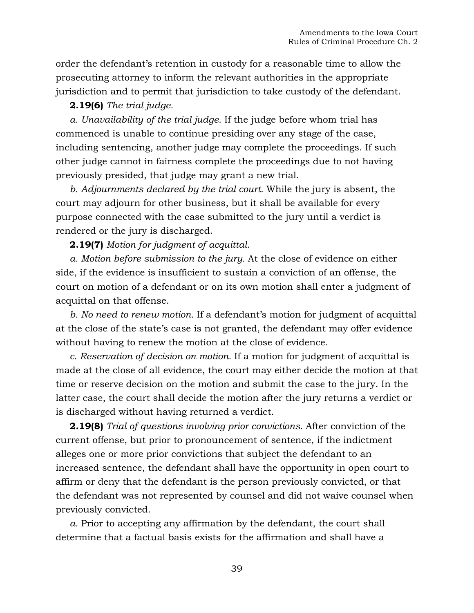order the defendant's retention in custody for a reasonable time to allow the prosecuting attorney to inform the relevant authorities in the appropriate jurisdiction and to permit that jurisdiction to take custody of the defendant.

## **2.19(6)** *The trial judge.*

*a. Unavailability of the trial judge.* If the judge before whom trial has commenced is unable to continue presiding over any stage of the case, including sentencing, another judge may complete the proceedings. If such other judge cannot in fairness complete the proceedings due to not having previously presided, that judge may grant a new trial.

*b. Adjournments declared by the trial court.* While the jury is absent, the court may adjourn for other business, but it shall be available for every purpose connected with the case submitted to the jury until a verdict is rendered or the jury is discharged.

**2.19(7)** *Motion for judgment of acquittal.*

*a. Motion before submission to the jury.* At the close of evidence on either side, if the evidence is insufficient to sustain a conviction of an offense, the court on motion of a defendant or on its own motion shall enter a judgment of acquittal on that offense.

*b. No need to renew motion.* If a defendant's motion for judgment of acquittal at the close of the state's case is not granted, the defendant may offer evidence without having to renew the motion at the close of evidence.

*c. Reservation of decision on motion.* If a motion for judgment of acquittal is made at the close of all evidence, the court may either decide the motion at that time or reserve decision on the motion and submit the case to the jury. In the latter case, the court shall decide the motion after the jury returns a verdict or is discharged without having returned a verdict.

**2.19(8)** *Trial of questions involving prior convictions.* After conviction of the current offense, but prior to pronouncement of sentence, if the indictment alleges one or more prior convictions that subject the defendant to an increased sentence, the defendant shall have the opportunity in open court to affirm or deny that the defendant is the person previously convicted, or that the defendant was not represented by counsel and did not waive counsel when previously convicted.

*a.* Prior to accepting any affirmation by the defendant, the court shall determine that a factual basis exists for the affirmation and shall have a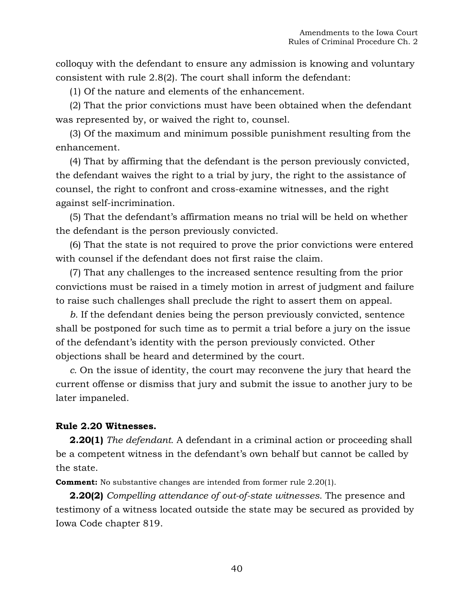colloquy with the defendant to ensure any admission is knowing and voluntary consistent with rule 2.8(2). The court shall inform the defendant:

(1) Of the nature and elements of the enhancement.

(2) That the prior convictions must have been obtained when the defendant was represented by, or waived the right to, counsel.

(3) Of the maximum and minimum possible punishment resulting from the enhancement.

(4) That by affirming that the defendant is the person previously convicted, the defendant waives the right to a trial by jury, the right to the assistance of counsel, the right to confront and cross-examine witnesses, and the right against self-incrimination.

(5) That the defendant's affirmation means no trial will be held on whether the defendant is the person previously convicted.

(6) That the state is not required to prove the prior convictions were entered with counsel if the defendant does not first raise the claim.

(7) That any challenges to the increased sentence resulting from the prior convictions must be raised in a timely motion in arrest of judgment and failure to raise such challenges shall preclude the right to assert them on appeal.

*b.* If the defendant denies being the person previously convicted, sentence shall be postponed for such time as to permit a trial before a jury on the issue of the defendant's identity with the person previously convicted. Other objections shall be heard and determined by the court.

*c.* On the issue of identity, the court may reconvene the jury that heard the current offense or dismiss that jury and submit the issue to another jury to be later impaneled.

## **Rule 2.20 Witnesses.**

**2.20(1)** *The defendant.* A defendant in a criminal action or proceeding shall be a competent witness in the defendant's own behalf but cannot be called by the state.

**Comment:** No substantive changes are intended from former rule 2.20(1).

**2.20(2)** *Compelling attendance of out-of-state witnesses.* The presence and testimony of a witness located outside the state may be secured as provided by Iowa Code chapter 819.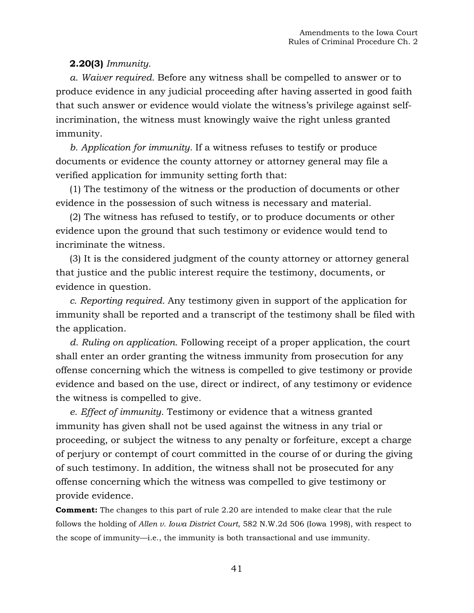## **2.20(3)** *Immunity.*

*a. Waiver required.* Before any witness shall be compelled to answer or to produce evidence in any judicial proceeding after having asserted in good faith that such answer or evidence would violate the witness's privilege against selfincrimination, the witness must knowingly waive the right unless granted immunity.

*b. Application for immunity.* If a witness refuses to testify or produce documents or evidence the county attorney or attorney general may file a verified application for immunity setting forth that:

(1) The testimony of the witness or the production of documents or other evidence in the possession of such witness is necessary and material.

(2) The witness has refused to testify, or to produce documents or other evidence upon the ground that such testimony or evidence would tend to incriminate the witness.

(3) It is the considered judgment of the county attorney or attorney general that justice and the public interest require the testimony, documents, or evidence in question.

*c. Reporting required.* Any testimony given in support of the application for immunity shall be reported and a transcript of the testimony shall be filed with the application.

*d. Ruling on application.* Following receipt of a proper application, the court shall enter an order granting the witness immunity from prosecution for any offense concerning which the witness is compelled to give testimony or provide evidence and based on the use, direct or indirect, of any testimony or evidence the witness is compelled to give.

*e. Effect of immunity.* Testimony or evidence that a witness granted immunity has given shall not be used against the witness in any trial or proceeding, or subject the witness to any penalty or forfeiture, except a charge of perjury or contempt of court committed in the course of or during the giving of such testimony. In addition, the witness shall not be prosecuted for any offense concerning which the witness was compelled to give testimony or provide evidence.

**Comment:** The changes to this part of rule 2.20 are intended to make clear that the rule follows the holding of *Allen v. Iowa District Court*, 582 N.W.2d 506 (Iowa 1998), with respect to the scope of immunity—i.e., the immunity is both transactional and use immunity.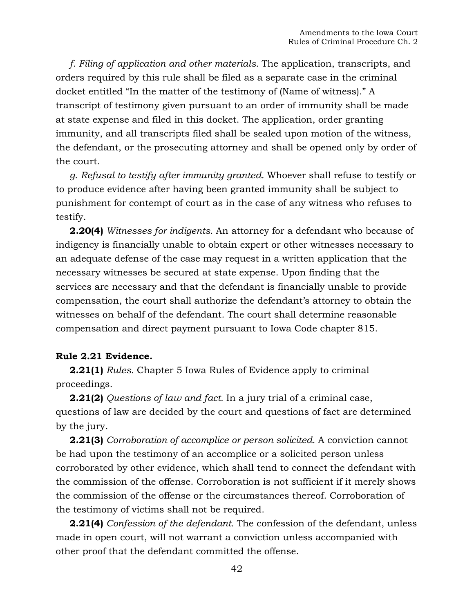*f. Filing of application and other materials.* The application, transcripts, and orders required by this rule shall be filed as a separate case in the criminal docket entitled "In the matter of the testimony of (Name of witness)." A transcript of testimony given pursuant to an order of immunity shall be made at state expense and filed in this docket. The application, order granting immunity, and all transcripts filed shall be sealed upon motion of the witness, the defendant, or the prosecuting attorney and shall be opened only by order of the court.

*g. Refusal to testify after immunity granted.* Whoever shall refuse to testify or to produce evidence after having been granted immunity shall be subject to punishment for contempt of court as in the case of any witness who refuses to testify.

**2.20(4)** *Witnesses for indigents.* An attorney for a defendant who because of indigency is financially unable to obtain expert or other witnesses necessary to an adequate defense of the case may request in a written application that the necessary witnesses be secured at state expense. Upon finding that the services are necessary and that the defendant is financially unable to provide compensation, the court shall authorize the defendant's attorney to obtain the witnesses on behalf of the defendant. The court shall determine reasonable compensation and direct payment pursuant to Iowa Code chapter 815.

#### **Rule 2.21 Evidence.**

**2.21(1)** *Rules.* Chapter 5 Iowa Rules of Evidence apply to criminal proceedings.

**2.21(2)** *Questions of law and fact.* In a jury trial of a criminal case, questions of law are decided by the court and questions of fact are determined by the jury.

**2.21(3)** *Corroboration of accomplice or person solicited.* A conviction cannot be had upon the testimony of an accomplice or a solicited person unless corroborated by other evidence, which shall tend to connect the defendant with the commission of the offense. Corroboration is not sufficient if it merely shows the commission of the offense or the circumstances thereof. Corroboration of the testimony of victims shall not be required.

**2.21(4)** *Confession of the defendant.* The confession of the defendant, unless made in open court, will not warrant a conviction unless accompanied with other proof that the defendant committed the offense.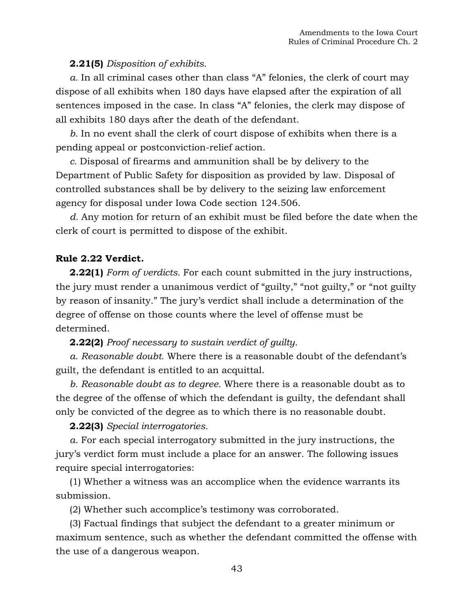## **2.21(5)** *Disposition of exhibits.*

*a.* In all criminal cases other than class "A" felonies, the clerk of court may dispose of all exhibits when 180 days have elapsed after the expiration of all sentences imposed in the case. In class "A" felonies, the clerk may dispose of all exhibits 180 days after the death of the defendant.

*b.* In no event shall the clerk of court dispose of exhibits when there is a pending appeal or postconviction-relief action.

*c.* Disposal of firearms and ammunition shall be by delivery to the Department of Public Safety for disposition as provided by law. Disposal of controlled substances shall be by delivery to the seizing law enforcement agency for disposal under [Iowa Code section 124.506.](https://1.next.westlaw.com/Link/Document/FullText?findType=L&pubNum=1000256&cite=IASTS124.506&originatingDoc=NF3A483901B1111DAB311FB76B2E4F553&refType=LQ&originationContext=document&transitionType=DocumentItem&contextData=(sc.Document))

*d.* Any motion for return of an exhibit must be filed before the date when the clerk of court is permitted to dispose of the exhibit.

### **Rule 2.22 Verdict.**

**2.22(1)** *Form of verdicts.* For each count submitted in the jury instructions, the jury must render a unanimous verdict of "guilty," "not guilty," or "not guilty by reason of insanity." The jury's verdict shall include a determination of the degree of offense on those counts where the level of offense must be determined.

#### **2.22(2)** *Proof necessary to sustain verdict of guilty.*

*a. Reasonable doubt.* Where there is a reasonable doubt of the defendant's guilt, the defendant is entitled to an acquittal.

*b. Reasonable doubt as to degree.* Where there is a reasonable doubt as to the degree of the offense of which the defendant is guilty, the defendant shall only be convicted of the degree as to which there is no reasonable doubt.

#### **2.22(3)** *Special interrogatories.*

*a.* For each special interrogatory submitted in the jury instructions, the jury's verdict form must include a place for an answer. The following issues require special interrogatories:

(1) Whether a witness was an accomplice when the evidence warrants its submission.

(2) Whether such accomplice's testimony was corroborated.

(3) Factual findings that subject the defendant to a greater minimum or maximum sentence, such as whether the defendant committed the offense with the use of a dangerous weapon.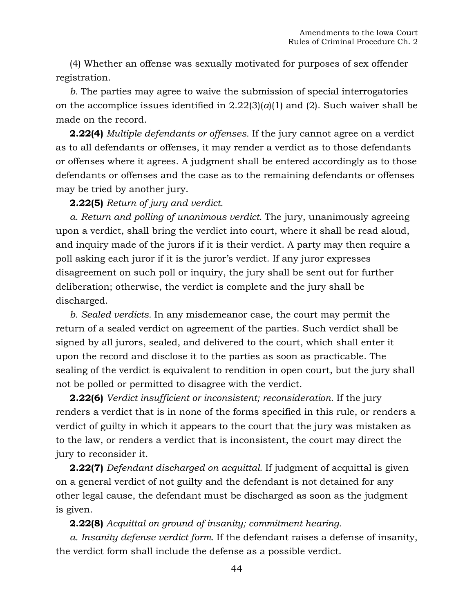(4) Whether an offense was sexually motivated for purposes of sex offender registration.

*b.* The parties may agree to waive the submission of special interrogatories on the accomplice issues identified in  $2.22(3)(a)(1)$  and (2). Such waiver shall be made on the record.

**2.22(4)** *Multiple defendants or offenses.* If the jury cannot agree on a verdict as to all defendants or offenses, it may render a verdict as to those defendants or offenses where it agrees. A judgment shall be entered accordingly as to those defendants or offenses and the case as to the remaining defendants or offenses may be tried by another jury.

## **2.22(5)** *Return of jury and verdict.*

*a. Return and polling of unanimous verdict.* The jury, unanimously agreeing upon a verdict, shall bring the verdict into court, where it shall be read aloud, and inquiry made of the jurors if it is their verdict. A party may then require a poll asking each juror if it is the juror's verdict. If any juror expresses disagreement on such poll or inquiry, the jury shall be sent out for further deliberation; otherwise, the verdict is complete and the jury shall be discharged.

*b. Sealed verdicts.* In any misdemeanor case, the court may permit the return of a sealed verdict on agreement of the parties. Such verdict shall be signed by all jurors, sealed, and delivered to the court, which shall enter it upon the record and disclose it to the parties as soon as practicable. The sealing of the verdict is equivalent to rendition in open court, but the jury shall not be polled or permitted to disagree with the verdict.

**2.22(6)** *Verdict insufficient or inconsistent; reconsideration.* If the jury renders a verdict that is in none of the forms specified in this rule, or renders a verdict of guilty in which it appears to the court that the jury was mistaken as to the law, or renders a verdict that is inconsistent, the court may direct the jury to reconsider it.

**2.22(7)** *Defendant discharged on acquittal.* If judgment of acquittal is given on a general verdict of not guilty and the defendant is not detained for any other legal cause, the defendant must be discharged as soon as the judgment is given.

## **2.22(8)** *Acquittal on ground of insanity; commitment hearing.*

*a. Insanity defense verdict form.* If the defendant raises a defense of insanity, the verdict form shall include the defense as a possible verdict.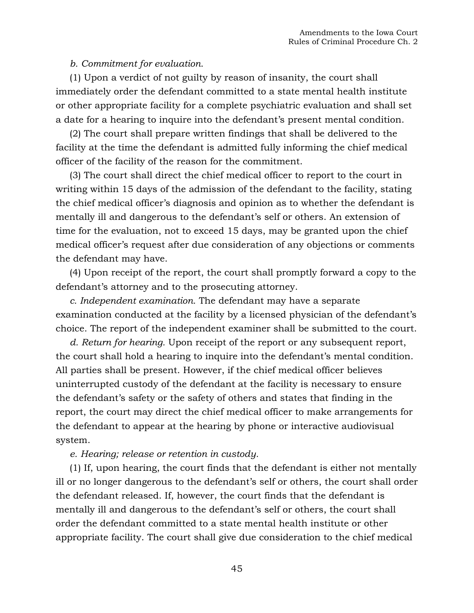## *b. Commitment for evaluation.*

(1) Upon a verdict of not guilty by reason of insanity, the court shall immediately order the defendant committed to a state mental health institute or other appropriate facility for a complete psychiatric evaluation and shall set a date for a hearing to inquire into the defendant's present mental condition.

(2) The court shall prepare written findings that shall be delivered to the facility at the time the defendant is admitted fully informing the chief medical officer of the facility of the reason for the commitment.

(3) The court shall direct the chief medical officer to report to the court in writing within 15 days of the admission of the defendant to the facility, stating the chief medical officer's diagnosis and opinion as to whether the defendant is mentally ill and dangerous to the defendant's self or others. An extension of time for the evaluation, not to exceed 15 days, may be granted upon the chief medical officer's request after due consideration of any objections or comments the defendant may have.

(4) Upon receipt of the report, the court shall promptly forward a copy to the defendant's attorney and to the prosecuting attorney.

*c. Independent examination.* The defendant may have a separate examination conducted at the facility by a licensed physician of the defendant's choice. The report of the independent examiner shall be submitted to the court.

*d. Return for hearing.* Upon receipt of the report or any subsequent report, the court shall hold a hearing to inquire into the defendant's mental condition. All parties shall be present. However, if the chief medical officer believes uninterrupted custody of the defendant at the facility is necessary to ensure the defendant's safety or the safety of others and states that finding in the report, the court may direct the chief medical officer to make arrangements for the defendant to appear at the hearing by phone or interactive audiovisual system.

#### *e. Hearing; release or retention in custody.*

(1) If, upon hearing, the court finds that the defendant is either not mentally ill or no longer dangerous to the defendant's self or others, the court shall order the defendant released. If, however, the court finds that the defendant is mentally ill and dangerous to the defendant's self or others, the court shall order the defendant committed to a state mental health institute or other appropriate facility. The court shall give due consideration to the chief medical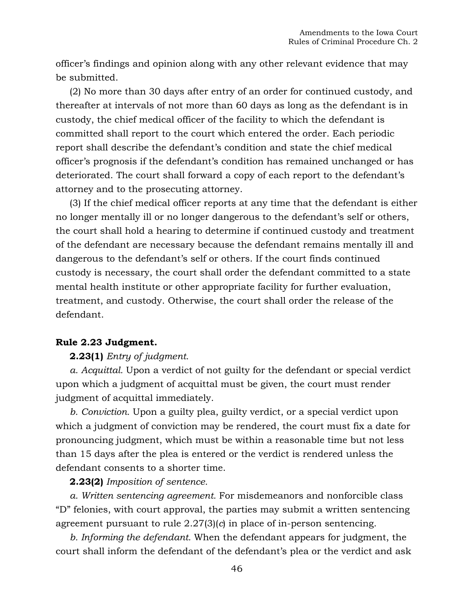officer's findings and opinion along with any other relevant evidence that may be submitted.

(2) No more than 30 days after entry of an order for continued custody, and thereafter at intervals of not more than 60 days as long as the defendant is in custody, the chief medical officer of the facility to which the defendant is committed shall report to the court which entered the order. Each periodic report shall describe the defendant's condition and state the chief medical officer's prognosis if the defendant's condition has remained unchanged or has deteriorated. The court shall forward a copy of each report to the defendant's attorney and to the prosecuting attorney.

(3) If the chief medical officer reports at any time that the defendant is either no longer mentally ill or no longer dangerous to the defendant's self or others, the court shall hold a hearing to determine if continued custody and treatment of the defendant are necessary because the defendant remains mentally ill and dangerous to the defendant's self or others. If the court finds continued custody is necessary, the court shall order the defendant committed to a state mental health institute or other appropriate facility for further evaluation, treatment, and custody. Otherwise, the court shall order the release of the defendant.

#### **Rule 2.23 Judgment.**

### **2.23(1)** *Entry of judgment.*

*a. Acquittal.* Upon a verdict of not guilty for the defendant or special verdict upon which a judgment of acquittal must be given, the court must render judgment of acquittal immediately.

*b. Conviction.* Upon a guilty plea, guilty verdict, or a special verdict upon which a judgment of conviction may be rendered, the court must fix a date for pronouncing judgment, which must be within a reasonable time but not less than 15 days after the plea is entered or the verdict is rendered unless the defendant consents to a shorter time.

## **2.23(2)** *Imposition of sentence.*

*a. Written sentencing agreement.* For misdemeanors and nonforcible class "D" felonies, with court approval, the parties may submit a written sentencing agreement pursuant to rule 2.27(3)(*c*) in place of in-person sentencing.

*b. Informing the defendant.* When the defendant appears for judgment, the court shall inform the defendant of the defendant's plea or the verdict and ask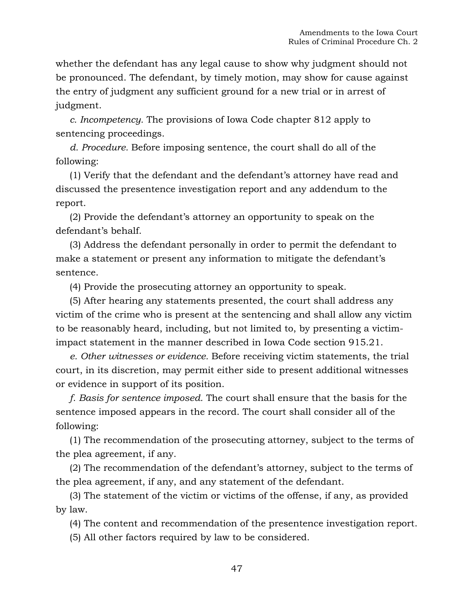whether the defendant has any legal cause to show why judgment should not be pronounced. The defendant, by timely motion, may show for cause against the entry of judgment any sufficient ground for a new trial or in arrest of judgment.

*c. Incompetency.* The provisions of Iowa Code chapter 812 apply to sentencing proceedings.

*d. Procedure.* Before imposing sentence, the court shall do all of the following:

(1) Verify that the defendant and the defendant's attorney have read and discussed the presentence investigation report and any addendum to the report.

(2) Provide the defendant's attorney an opportunity to speak on the defendant's behalf.

(3) Address the defendant personally in order to permit the defendant to make a statement or present any information to mitigate the defendant's sentence.

(4) Provide the prosecuting attorney an opportunity to speak.

(5) After hearing any statements presented, the court shall address any victim of the crime who is present at the sentencing and shall allow any victim to be reasonably heard, including, but not limited to, by presenting a victimimpact statement in the manner described in Iowa Code section 915.21.

*e. Other witnesses or evidence.* Before receiving victim statements, the trial court, in its discretion, may permit either side to present additional witnesses or evidence in support of its position.

*f. Basis for sentence imposed.* The court shall ensure that the basis for the sentence imposed appears in the record. The court shall consider all of the following:

(1) The recommendation of the prosecuting attorney, subject to the terms of the plea agreement, if any.

(2) The recommendation of the defendant's attorney, subject to the terms of the plea agreement, if any, and any statement of the defendant.

(3) The statement of the victim or victims of the offense, if any, as provided by law.

(4) The content and recommendation of the presentence investigation report.

(5) All other factors required by law to be considered.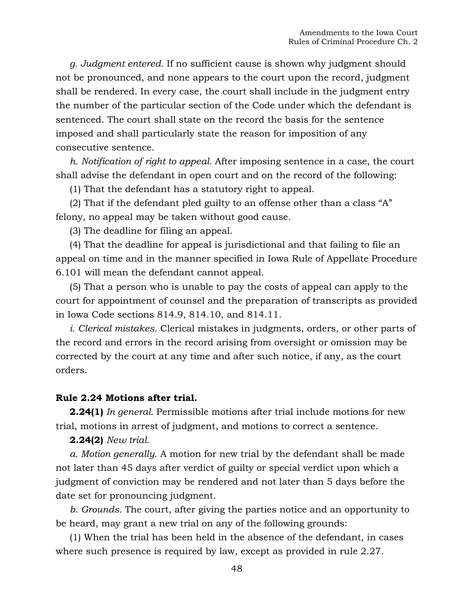*g. Judgment entered.* If no sufficient cause is shown why judgment should not be pronounced, and none appears to the court upon the record, judgment shall be rendered. In every case, the court shall include in the judgment entry the number of the particular section of the Code under which the defendant is sentenced. The court shall state on the record the basis for the sentence imposed and shall particularly state the reason for imposition of any consecutive sentence.

*h. Notification of right to appeal.* After imposing sentence in a case, the court shall advise the defendant in open court and on the record of the following:

(1) That the defendant has a statutory right to appeal.

(2) That if the defendant pled guilty to an offense other than a class "A" felony, no appeal may be taken without good cause.

(3) The deadline for filing an appeal.

(4) That the deadline for appeal is jurisdictional and that failing to file an appeal on time and in the manner specified in Iowa Rule of Appellate Procedure 6.101 will mean the defendant cannot appeal.

(5) That a person who is unable to pay the costs of appeal can apply to the court for appointment of counsel and the preparation of transcripts as provided in [Iowa Code sections 814.9,](https://1.next.westlaw.com/Link/Document/FullText?findType=L&pubNum=1000256&cite=IASTS814.9&originatingDoc=N082451101B1211DAB311FB76B2E4F553&refType=LQ&originationContext=document&transitionType=DocumentItem&contextData=(sc.UserEnteredCitation)) 814.10, and [814.11.](https://1.next.westlaw.com/Link/Document/FullText?findType=L&pubNum=1000256&cite=IASTS814.11&originatingDoc=N082451101B1211DAB311FB76B2E4F553&refType=LQ&originationContext=document&transitionType=DocumentItem&contextData=(sc.UserEnteredCitation))

*i. Clerical mistakes.* Clerical mistakes in judgments, orders, or other parts of the record and errors in the record arising from oversight or omission may be corrected by the court at any time and after such notice, if any, as the court orders.

#### **Rule 2.24 Motions after trial.**

**2.24(1)** *In general.* Permissible motions after trial include motions for new trial, motions in arrest of judgment, and motions to correct a sentence.

#### **2.24(2)** *New trial.*

*a. Motion generally.* A motion for new trial by the defendant shall be made not later than 45 days after verdict of guilty or special verdict upon which a judgment of conviction may be rendered and not later than 5 days before the date set for pronouncing judgment.

*b. Grounds.* The court, after giving the parties notice and an opportunity to be heard, may grant a new trial on any of the following grounds:

(1) When the trial has been held in the absence of the defendant, in cases where such presence is required by law, except as provided in rule 2.27.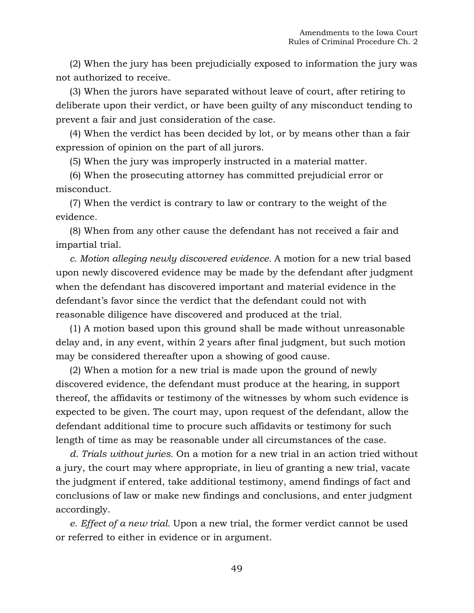(2) When the jury has been prejudicially exposed to information the jury was not authorized to receive.

(3) When the jurors have separated without leave of court, after retiring to deliberate upon their verdict, or have been guilty of any misconduct tending to prevent a fair and just consideration of the case.

(4) When the verdict has been decided by lot, or by means other than a fair expression of opinion on the part of all jurors.

(5) When the jury was improperly instructed in a material matter.

(6) When the prosecuting attorney has committed prejudicial error or misconduct.

(7) When the verdict is contrary to law or contrary to the weight of the evidence.

(8) When from any other cause the defendant has not received a fair and impartial trial.

*c. Motion alleging newly discovered evidence.* A motion for a new trial based upon newly discovered evidence may be made by the defendant after judgment when the defendant has discovered important and material evidence in the defendant's favor since the verdict that the defendant could not with reasonable diligence have discovered and produced at the trial.

(1) A motion based upon this ground shall be made without unreasonable delay and, in any event, within 2 years after final judgment, but such motion may be considered thereafter upon a showing of good cause.

(2) When a motion for a new trial is made upon the ground of newly discovered evidence, the defendant must produce at the hearing, in support thereof, the affidavits or testimony of the witnesses by whom such evidence is expected to be given. The court may, upon request of the defendant, allow the defendant additional time to procure such affidavits or testimony for such length of time as may be reasonable under all circumstances of the case.

*d. Trials without juries.* On a motion for a new trial in an action tried without a jury, the court may where appropriate, in lieu of granting a new trial, vacate the judgment if entered, take additional testimony, amend findings of fact and conclusions of law or make new findings and conclusions, and enter judgment accordingly.

*e. Effect of a new trial.* Upon a new trial, the former verdict cannot be used or referred to either in evidence or in argument.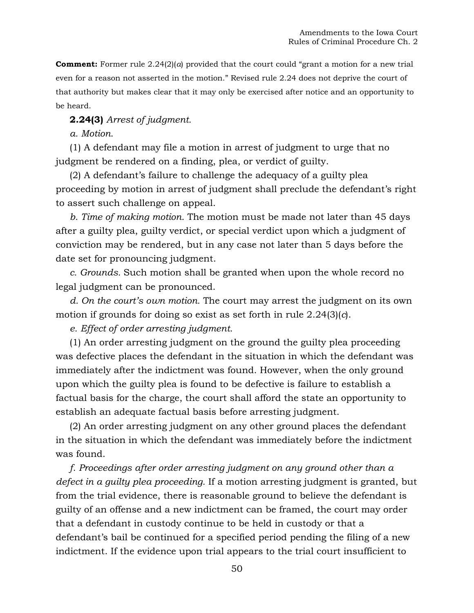**Comment:** Former rule  $2.24(2)(a)$  provided that the court could "grant a motion for a new trial" even for a reason not asserted in the motion." Revised rule 2.24 does not deprive the court of that authority but makes clear that it may only be exercised after notice and an opportunity to be heard.

**2.24(3)** *Arrest of judgment.*

*a. Motion.*

(1) A defendant may file a motion in arrest of judgment to urge that no judgment be rendered on a finding, plea, or verdict of guilty.

(2) A defendant's failure to challenge the adequacy of a guilty plea proceeding by motion in arrest of judgment shall preclude the defendant's right to assert such challenge on appeal.

*b. Time of making motion.* The motion must be made not later than 45 days after a guilty plea, guilty verdict, or special verdict upon which a judgment of conviction may be rendered, but in any case not later than 5 days before the date set for pronouncing judgment.

*c. Grounds.* Such motion shall be granted when upon the whole record no legal judgment can be pronounced.

*d. On the court's own motion.* The court may arrest the judgment on its own motion if grounds for doing so exist as set forth in rule 2.24(3)(*c*).

*e. Effect of order arresting judgment.*

(1) An order arresting judgment on the ground the guilty plea proceeding was defective places the defendant in the situation in which the defendant was immediately after the indictment was found. However, when the only ground upon which the guilty plea is found to be defective is failure to establish a factual basis for the charge, the court shall afford the state an opportunity to establish an adequate factual basis before arresting judgment.

(2) An order arresting judgment on any other ground places the defendant in the situation in which the defendant was immediately before the indictment was found.

*f. Proceedings after order arresting judgment on any ground other than a defect in a guilty plea proceeding.* If a motion arresting judgment is granted, but from the trial evidence, there is reasonable ground to believe the defendant is guilty of an offense and a new indictment can be framed, the court may order that a defendant in custody continue to be held in custody or that a defendant's bail be continued for a specified period pending the filing of a new indictment. If the evidence upon trial appears to the trial court insufficient to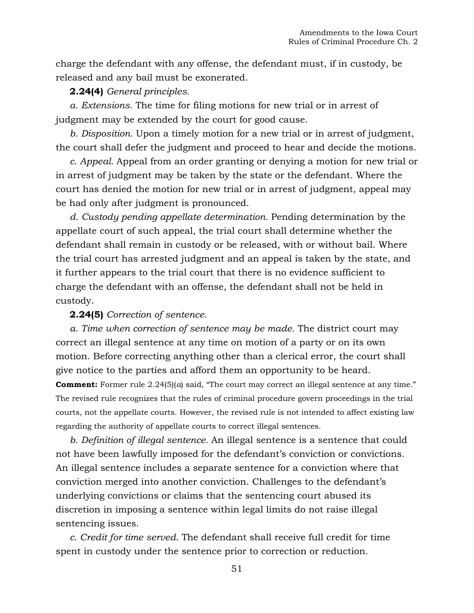charge the defendant with any offense, the defendant must, if in custody, be released and any bail must be exonerated.

## **2.24(4)** *General principles.*

*a. Extensions.* The time for filing motions for new trial or in arrest of judgment may be extended by the court for good cause.

*b. Disposition.* Upon a timely motion for a new trial or in arrest of judgment, the court shall defer the judgment and proceed to hear and decide the motions.

*c. Appeal.* Appeal from an order granting or denying a motion for new trial or in arrest of judgment may be taken by the state or the defendant. Where the court has denied the motion for new trial or in arrest of judgment, appeal may be had only after judgment is pronounced.

*d. Custody pending appellate determination.* Pending determination by the appellate court of such appeal, the trial court shall determine whether the defendant shall remain in custody or be released, with or without bail. Where the trial court has arrested judgment and an appeal is taken by the state, and it further appears to the trial court that there is no evidence sufficient to charge the defendant with an offense, the defendant shall not be held in custody.

### **2.24(5)** *Correction of sentence.*

*a. Time when correction of sentence may be made.* The district court may correct an illegal sentence at any time on motion of a party or on its own motion. Before correcting anything other than a clerical error, the court shall give notice to the parties and afford them an opportunity to be heard. **Comment:** Former rule 2.24(5)(*a*) said, "The court may correct an illegal sentence at any time." The revised rule recognizes that the rules of criminal procedure govern proceedings in the trial courts, not the appellate courts. However, the revised rule is not intended to affect existing law regarding the authority of appellate courts to correct illegal sentences.

*b. Definition of illegal sentence.* An illegal sentence is a sentence that could not have been lawfully imposed for the defendant's conviction or convictions. An illegal sentence includes a separate sentence for a conviction where that conviction merged into another conviction. Challenges to the defendant's underlying convictions or claims that the sentencing court abused its discretion in imposing a sentence within legal limits do not raise illegal sentencing issues.

*c. Credit for time served.* The defendant shall receive full credit for time spent in custody under the sentence prior to correction or reduction.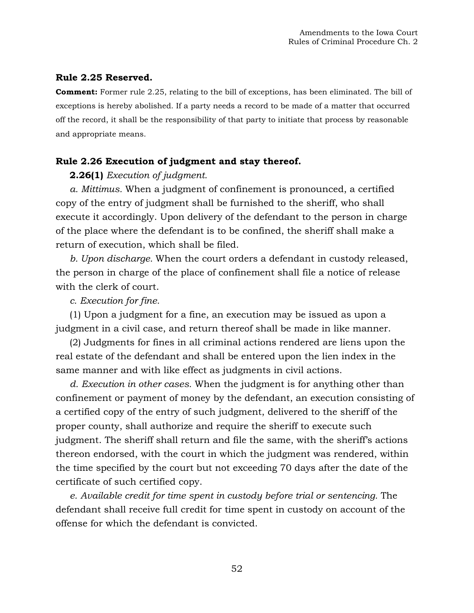### **Rule 2.25 Reserved.**

**Comment:** Former rule 2.25, relating to the bill of exceptions, has been eliminated. The bill of exceptions is hereby abolished. If a party needs a record to be made of a matter that occurred off the record, it shall be the responsibility of that party to initiate that process by reasonable and appropriate means.

## **Rule 2.26 Execution of judgment and stay thereof.**

### **2.26(1)** *Execution of judgment.*

*a. Mittimus.* When a judgment of confinement is pronounced, a certified copy of the entry of judgment shall be furnished to the sheriff, who shall execute it accordingly. Upon delivery of the defendant to the person in charge of the place where the defendant is to be confined, the sheriff shall make a return of execution, which shall be filed.

*b. Upon discharge.* When the court orders a defendant in custody released, the person in charge of the place of confinement shall file a notice of release with the clerk of court.

*c. Execution for fine.*

(1) Upon a judgment for a fine, an execution may be issued as upon a judgment in a civil case, and return thereof shall be made in like manner.

(2) Judgments for fines in all criminal actions rendered are liens upon the real estate of the defendant and shall be entered upon the lien index in the same manner and with like effect as judgments in civil actions.

*d. Execution in other cases.* When the judgment is for anything other than confinement or payment of money by the defendant, an execution consisting of a certified copy of the entry of such judgment, delivered to the sheriff of the proper county, shall authorize and require the sheriff to execute such judgment. The sheriff shall return and file the same, with the sheriff's actions thereon endorsed, with the court in which the judgment was rendered, within the time specified by the court but not exceeding 70 days after the date of the certificate of such certified copy.

*e. Available credit for time spent in custody before trial or sentencing.* The defendant shall receive full credit for time spent in custody on account of the offense for which the defendant is convicted.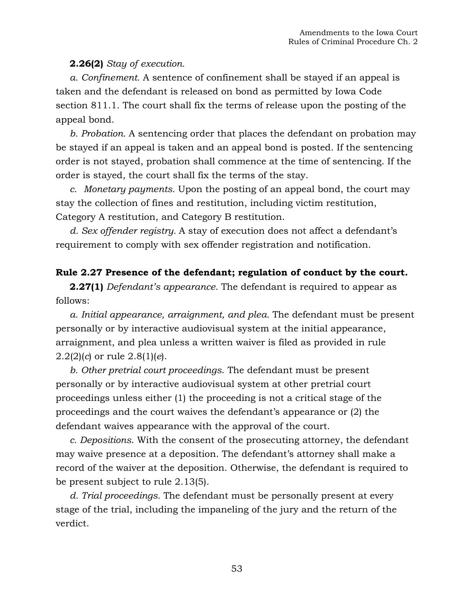## **2.26(2)** *Stay of execution.*

*a. Confinement.* A sentence of confinement shall be stayed if an appeal is taken and the defendant is released on bond as permitted by Iowa Code section 811.1. The court shall fix the terms of release upon the posting of the appeal bond.

*b. Probation.* A sentencing order that places the defendant on probation may be stayed if an appeal is taken and an appeal bond is posted. If the sentencing order is not stayed, probation shall commence at the time of sentencing. If the order is stayed, the court shall fix the terms of the stay.

*c. Monetary payments.* Upon the posting of an appeal bond, the court may stay the collection of fines and restitution, including victim restitution, Category A restitution, and Category B restitution.

*d. Sex offender registry.* A stay of execution does not affect a defendant's requirement to comply with sex offender registration and notification.

## **Rule 2.27 Presence of the defendant; regulation of conduct by the court.**

**2.27(1)** *Defendant's appearance.* The defendant is required to appear as follows:

*a. Initial appearance, arraignment, and plea.* The defendant must be present personally or by interactive audiovisual system at the initial appearance, arraignment, and plea unless a written waiver is filed as provided in rule 2.2(2)(*c*) or rule 2.8(1)(*e*).

*b. Other pretrial court proceedings*. The defendant must be present personally or by interactive audiovisual system at other pretrial court proceedings unless either (1) the proceeding is not a critical stage of the proceedings and the court waives the defendant's appearance or (2) the defendant waives appearance with the approval of the court.

*c. Depositions*. With the consent of the prosecuting attorney, the defendant may waive presence at a deposition. The defendant's attorney shall make a record of the waiver at the deposition. Otherwise, the defendant is required to be present subject to rule 2.13(5).

*d. Trial proceedings.* The defendant must be personally present at every stage of the trial, including the impaneling of the jury and the return of the verdict.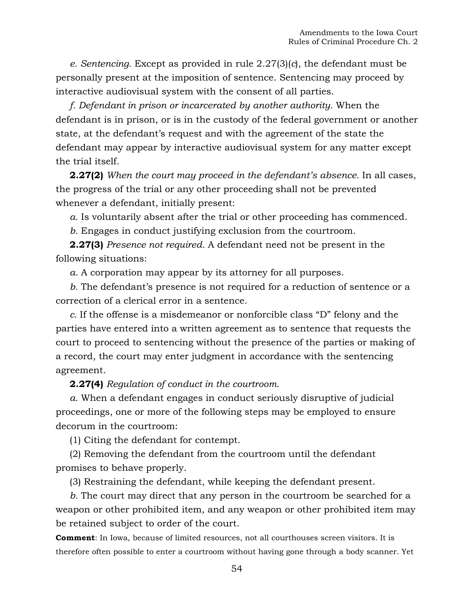*e. Sentencing.* Except as provided in rule 2.27(3)(*c*), the defendant must be personally present at the imposition of sentence. Sentencing may proceed by interactive audiovisual system with the consent of all parties.

*f. Defendant in prison or incarcerated by another authority.* When the defendant is in prison, or is in the custody of the federal government or another state, at the defendant's request and with the agreement of the state the defendant may appear by interactive audiovisual system for any matter except the trial itself.

**2.27(2)** *When the court may proceed in the defendant's absence.* In all cases, the progress of the trial or any other proceeding shall not be prevented whenever a defendant, initially present:

*a.* Is voluntarily absent after the trial or other proceeding has commenced.

*b.* Engages in conduct justifying exclusion from the courtroom.

**2.27(3)** *Presence not required.* A defendant need not be present in the following situations:

*a.* A corporation may appear by its attorney for all purposes.

*b.* The defendant's presence is not required for a reduction of sentence or a correction of a clerical error in a sentence.

*c.* If the offense is a misdemeanor or nonforcible class "D" felony and the parties have entered into a written agreement as to sentence that requests the court to proceed to sentencing without the presence of the parties or making of a record, the court may enter judgment in accordance with the sentencing agreement.

**2.27(4)** *Regulation of conduct in the courtroom.*

*a.* When a defendant engages in conduct seriously disruptive of judicial proceedings, one or more of the following steps may be employed to ensure decorum in the courtroom:

(1) Citing the defendant for contempt.

(2) Removing the defendant from the courtroom until the defendant promises to behave properly.

(3) Restraining the defendant, while keeping the defendant present.

*b.* The court may direct that any person in the courtroom be searched for a weapon or other prohibited item, and any weapon or other prohibited item may be retained subject to order of the court.

**Comment**: In Iowa, because of limited resources, not all courthouses screen visitors. It is therefore often possible to enter a courtroom without having gone through a body scanner. Yet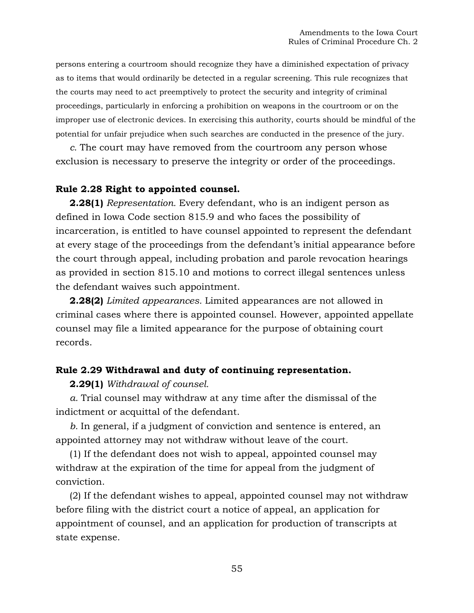persons entering a courtroom should recognize they have a diminished expectation of privacy as to items that would ordinarily be detected in a regular screening. This rule recognizes that the courts may need to act preemptively to protect the security and integrity of criminal proceedings, particularly in enforcing a prohibition on weapons in the courtroom or on the improper use of electronic devices. In exercising this authority, courts should be mindful of the potential for unfair prejudice when such searches are conducted in the presence of the jury.

*c.* The court may have removed from the courtroom any person whose exclusion is necessary to preserve the integrity or order of the proceedings.

#### **Rule 2.28 Right to appointed counsel.**

**2.28(1)** *Representation.* Every defendant, who is an indigent person as defined in [Iowa Code section 815.9](https://1.next.westlaw.com/Link/Document/FullText?findType=L&pubNum=1000256&cite=IASTS815.9&originatingDoc=N0FB98A301B1211DAB311FB76B2E4F553&refType=LQ&originationContext=document&transitionType=DocumentItem&contextData=(sc.Document)) and who faces the possibility of incarceration, is entitled to have counsel appointed to represent the defendant at every stage of the proceedings from the defendant's initial appearance before the court through appeal, including probation and parole revocation hearings as provided in section 815.10 and motions to correct illegal sentences unless the defendant waives such appointment.

**2.28(2)** *Limited appearances.* Limited appearances are not allowed in criminal cases where there is appointed counsel. However, appointed appellate counsel may file a limited appearance for the purpose of obtaining court records.

#### **Rule 2.29 Withdrawal and duty of continuing representation.**

**2.29(1)** *Withdrawal of counsel.*

*a.* Trial counsel may withdraw at any time after the dismissal of the indictment or acquittal of the defendant.

*b.* In general, if a judgment of conviction and sentence is entered, an appointed attorney may not withdraw without leave of the court.

(1) If the defendant does not wish to appeal, appointed counsel may withdraw at the expiration of the time for appeal from the judgment of conviction.

(2) If the defendant wishes to appeal, appointed counsel may not withdraw before filing with the district court a notice of appeal, an application for appointment of counsel, and an application for production of transcripts at state expense.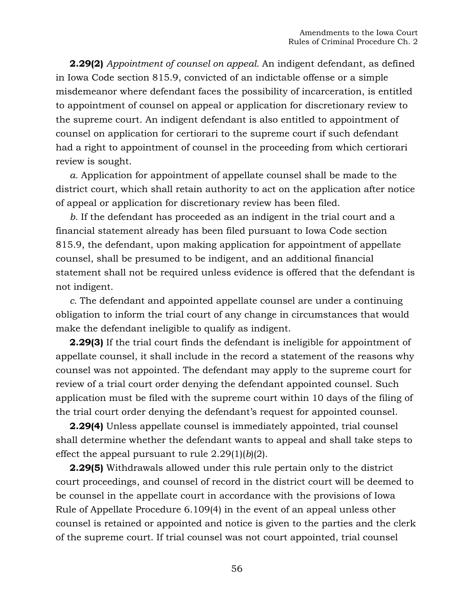**2.29(2)** *Appointment of counsel on appeal.* An indigent defendant, as defined in [Iowa Code section 815.9,](https://1.next.westlaw.com/Link/Document/FullText?findType=L&pubNum=1000256&cite=IASTS815.9&originatingDoc=N1061FF301B1211DAB311FB76B2E4F553&refType=LQ&originationContext=document&transitionType=DocumentItem&contextData=(sc.Document)) convicted of an indictable offense or a simple misdemeanor where defendant faces the possibility of incarceration, is entitled to appointment of counsel on appeal or application for discretionary review to the supreme court. An indigent defendant is also entitled to appointment of counsel on application for certiorari to the supreme court if such defendant had a right to appointment of counsel in the proceeding from which certiorari review is sought.

*a.* Application for appointment of appellate counsel shall be made to the district court, which shall retain authority to act on the application after notice of appeal or application for discretionary review has been filed.

*b.* If the defendant has proceeded as an indigent in the trial court and a financial statement already has been filed pursuant to [Iowa Code section](https://1.next.westlaw.com/Link/Document/FullText?findType=L&pubNum=1000256&cite=IASTS815.9&originatingDoc=N1061FF301B1211DAB311FB76B2E4F553&refType=LQ&originationContext=document&transitionType=DocumentItem&contextData=(sc.Document))  [815.9,](https://1.next.westlaw.com/Link/Document/FullText?findType=L&pubNum=1000256&cite=IASTS815.9&originatingDoc=N1061FF301B1211DAB311FB76B2E4F553&refType=LQ&originationContext=document&transitionType=DocumentItem&contextData=(sc.Document)) the defendant, upon making application for appointment of appellate counsel, shall be presumed to be indigent, and an additional financial statement shall not be required unless evidence is offered that the defendant is not indigent.

*c.* The defendant and appointed appellate counsel are under a continuing obligation to inform the trial court of any change in circumstances that would make the defendant ineligible to qualify as indigent.

**2.29(3)** If the trial court finds the defendant is ineligible for appointment of appellate counsel, it shall include in the record a statement of the reasons why counsel was not appointed. The defendant may apply to the supreme court for review of a trial court order denying the defendant appointed counsel. Such application must be filed with the supreme court within 10 days of the filing of the trial court order denying the defendant's request for appointed counsel.

**2.29(4)** Unless appellate counsel is immediately appointed, trial counsel shall determine whether the defendant wants to appeal and shall take steps to effect the appeal pursuant to rule 2.29(1)(*b*)(2).

**2.29(5)** Withdrawals allowed under this rule pertain only to the district court proceedings, and counsel of record in the district court will be deemed to be counsel in the appellate court in accordance with the provisions of [Iowa](https://1.next.westlaw.com/Link/Document/FullText?findType=L&pubNum=1016823&cite=IAR6.109&originatingDoc=N107427A01B1211DAB311FB76B2E4F553&refType=LQ&originationContext=document&transitionType=DocumentItem&contextData=(sc.Document))  [Rule of Appellate Procedure](https://1.next.westlaw.com/Link/Document/FullText?findType=L&pubNum=1016823&cite=IAR6.109&originatingDoc=N107427A01B1211DAB311FB76B2E4F553&refType=LQ&originationContext=document&transitionType=DocumentItem&contextData=(sc.Document)) 6.109(4) in the event of an appeal unless other counsel is retained or appointed and notice is given to the parties and the clerk of the supreme court. If trial counsel was not court appointed, trial counsel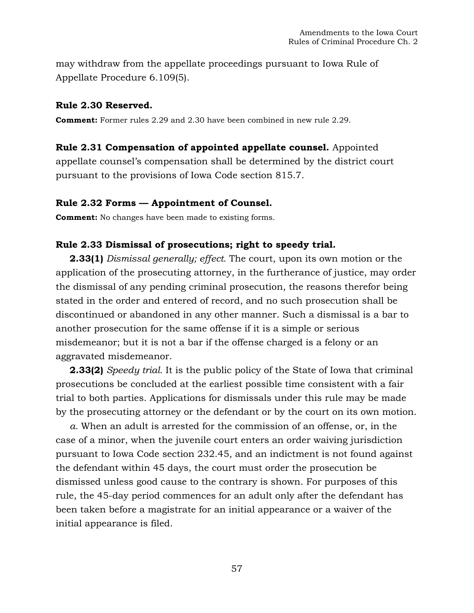may withdraw from the appellate proceedings pursuant to [Iowa Rule of](https://1.next.westlaw.com/Link/Document/FullText?findType=L&pubNum=1016823&cite=IAR6.109&originatingDoc=N107427A01B1211DAB311FB76B2E4F553&refType=LQ&originationContext=document&transitionType=DocumentItem&contextData=(sc.Document))  [Appellate Procedure](https://1.next.westlaw.com/Link/Document/FullText?findType=L&pubNum=1016823&cite=IAR6.109&originatingDoc=N107427A01B1211DAB311FB76B2E4F553&refType=LQ&originationContext=document&transitionType=DocumentItem&contextData=(sc.Document)) 6.109(5).

### **Rule 2.30 Reserved.**

**Comment:** Former rules 2.29 and 2.30 have been combined in new rule 2.29.

## **Rule 2.31 Compensation of appointed appellate counsel.** Appointed

appellate counsel's compensation shall be determined by the district court pursuant to the provisions of [Iowa Code section 815.7.](https://1.next.westlaw.com/Link/Document/FullText?findType=L&pubNum=1000256&cite=IASTS815.7&originatingDoc=N1085B3D01B1211DAB311FB76B2E4F553&refType=LQ&originationContext=document&transitionType=DocumentItem&contextData=(sc.Document))

## **Rule 2.32 Forms — Appointment of Counsel.**

**Comment:** No changes have been made to existing forms.

## **Rule 2.33 Dismissal of prosecutions; right to speedy trial.**

**2.33(1)** *Dismissal generally; effect.* The court, upon its own motion or the application of the prosecuting attorney, in the furtherance of justice, may order the dismissal of any pending criminal prosecution, the reasons therefor being stated in the order and entered of record, and no such prosecution shall be discontinued or abandoned in any other manner. Such a dismissal is a bar to another prosecution for the same offense if it is a simple or serious misdemeanor; but it is not a bar if the offense charged is a felony or an aggravated misdemeanor.

**2.33(2)** *Speedy trial.* It is the public policy of the State of Iowa that criminal prosecutions be concluded at the earliest possible time consistent with a fair trial to both parties. Applications for dismissals under this rule may be made by the prosecuting attorney or the defendant or by the court on its own motion.

*a.* When an adult is arrested for the commission of an offense, or, in the case of a minor, when the juvenile court enters an order waiving jurisdiction pursuant to [Iowa Code section 232.45,](https://1.next.westlaw.com/Link/Document/FullText?findType=L&pubNum=1000256&cite=IASTS232.45&originatingDoc=N111BD9501B1211DAB311FB76B2E4F553&refType=LQ&originationContext=document&transitionType=DocumentItem&contextData=(sc.Document)) and an indictment is not found against the defendant within 45 days, the court must order the prosecution be dismissed unless good cause to the contrary is shown. For purposes of this rule, the 45-day period commences for an adult only after the defendant has been taken before a magistrate for an initial appearance or a waiver of the initial appearance is filed.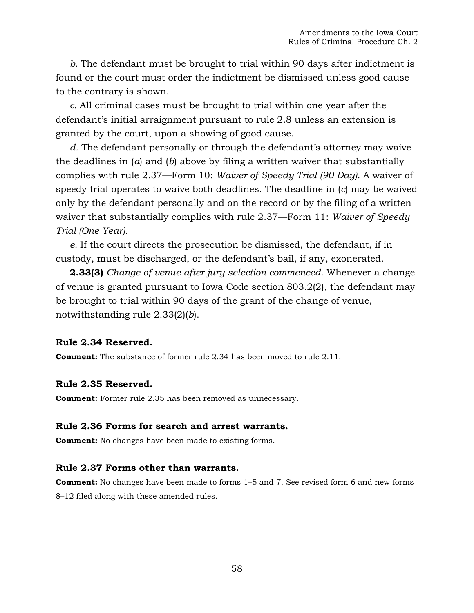*b.* The defendant must be brought to trial within 90 days after indictment is found or the court must order the indictment be dismissed unless good cause to the contrary is shown.

*c.* All criminal cases must be brought to trial within one year after the defendant's initial arraignment pursuant to rule 2.8 unless an extension is granted by the court, upon a showing of good cause.

*d.* The defendant personally or through the defendant's attorney may waive the deadlines in (*a*) and (*b*) above by filing a written waiver that substantially complies with rule 2.37—Form 10: *Waiver of Speedy Trial (90 Day)*. A waiver of speedy trial operates to waive both deadlines. The deadline in (*c*) may be waived only by the defendant personally and on the record or by the filing of a written waiver that substantially complies with rule 2.37—Form 11: *Waiver of Speedy Trial (One Year)*.

*e.* If the court directs the prosecution be dismissed, the defendant, if in custody, must be discharged, or the defendant's bail, if any, exonerated.

**2.33(3)** *Change of venue after jury selection commenced.* Whenever a change of venue is granted pursuant to [Iowa Code section 803.2\(](https://1.next.westlaw.com/Link/Document/FullText?findType=L&pubNum=1000256&cite=IASTS803.2&originatingDoc=N111BD9501B1211DAB311FB76B2E4F553&refType=LQ&originationContext=document&transitionType=DocumentItem&contextData=(sc.Document))2), the defendant may be brought to trial within 90 days of the grant of the change of venue, notwithstanding rule 2.33(2)(*b*).

#### **Rule 2.34 Reserved.**

**Comment:** The substance of former rule 2.34 has been moved to rule 2.11.

#### **Rule 2.35 Reserved.**

**Comment:** Former rule 2.35 has been removed as unnecessary.

#### **Rule 2.36 Forms for search and arrest warrants.**

**Comment:** No changes have been made to existing forms.

#### **Rule 2.37 Forms other than warrants.**

**Comment:** No changes have been made to forms 1–5 and 7. See revised form 6 and new forms 8–12 filed along with these amended rules.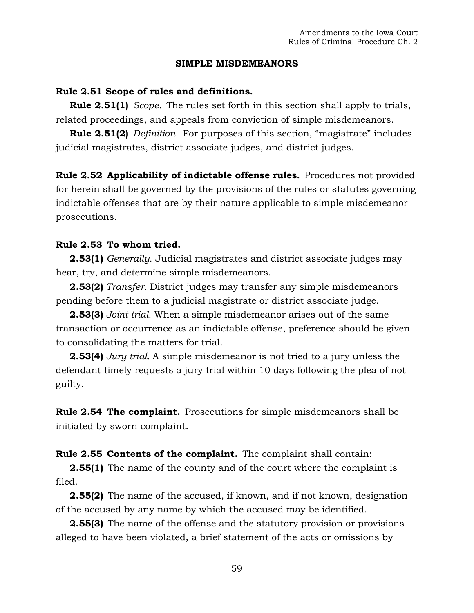#### **SIMPLE MISDEMEANORS**

#### **Rule 2.51 Scope of rules and definitions.**

**Rule 2.51(1)** *Scope.* The rules set forth in this section shall apply to trials, related proceedings, and appeals from conviction of simple misdemeanors.

**Rule 2.51(2)** *Definition.* For purposes of this section, "magistrate" includes judicial magistrates, district associate judges, and district judges.

**Rule 2.52 Applicability of indictable offense rules.** Procedures not provided for herein shall be governed by the provisions of the rules or statutes governing indictable offenses that are by their nature applicable to simple misdemeanor prosecutions.

#### **Rule 2.53 To whom tried.**

**2.53(1)** *Generally.* Judicial magistrates and district associate judges may hear, try, and determine simple misdemeanors.

**2.53(2)** *Transfer.* District judges may transfer any simple misdemeanors pending before them to a judicial magistrate or district associate judge.

**2.53(3)** *Joint trial.* When a simple misdemeanor arises out of the same transaction or occurrence as an indictable offense, preference should be given to consolidating the matters for trial.

**2.53(4)** *Jury trial.* A simple misdemeanor is not tried to a jury unless the defendant timely requests a jury trial within 10 days following the plea of not guilty.

**Rule 2.54 The complaint.** Prosecutions for simple misdemeanors shall be initiated by sworn complaint.

**Rule 2.55 Contents of the complaint.** The complaint shall contain:

**2.55(1)** The name of the county and of the court where the complaint is filed.

**2.55(2)** The name of the accused, if known, and if not known, designation of the accused by any name by which the accused may be identified.

**2.55(3)** The name of the offense and the statutory provision or provisions alleged to have been violated, a brief statement of the acts or omissions by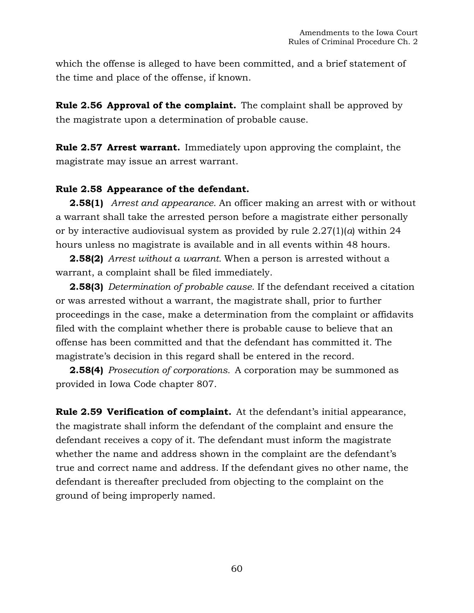which the offense is alleged to have been committed, and a brief statement of the time and place of the offense, if known.

**Rule 2.56 Approval of the complaint.** The complaint shall be approved by the magistrate upon a determination of probable cause.

**Rule 2.57 Arrest warrant.** Immediately upon approving the complaint, the magistrate may issue an arrest warrant.

## **Rule 2.58 Appearance of the defendant.**

**2.58(1)** *Arrest and appearance.* An officer making an arrest with or without a warrant shall take the arrested person before a magistrate either personally or by interactive audiovisual system as provided by rule 2.27(1)(*a*) within 24 hours unless no magistrate is available and in all events within 48 hours.

**2.58(2)** *Arrest without a warrant.* When a person is arrested without a warrant, a complaint shall be filed immediately.

**2.58(3)** *Determination of probable cause.* If the defendant received a citation or was arrested without a warrant, the magistrate shall, prior to further proceedings in the case, make a determination from the complaint or affidavits filed with the complaint whether there is probable cause to believe that an offense has been committed and that the defendant has committed it. The magistrate's decision in this regard shall be entered in the record.

**2.58(4)** *Prosecution of corporations.* A corporation may be summoned as provided in Iowa Code chapter 807.

**Rule 2.59 Verification of complaint.** At the defendant's initial appearance, the magistrate shall inform the defendant of the complaint and ensure the defendant receives a copy of it. The defendant must inform the magistrate whether the name and address shown in the complaint are the defendant's true and correct name and address. If the defendant gives no other name, the defendant is thereafter precluded from objecting to the complaint on the ground of being improperly named.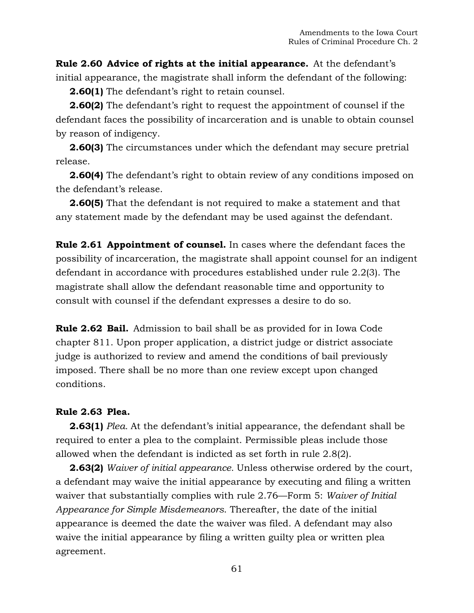**Rule 2.60 Advice of rights at the initial appearance.** At the defendant's initial appearance, the magistrate shall inform the defendant of the following:

**2.60(1)** The defendant's right to retain counsel.

**2.60(2)** The defendant's right to request the appointment of counsel if the defendant faces the possibility of incarceration and is unable to obtain counsel by reason of indigency.

**2.60(3)** The circumstances under which the defendant may secure pretrial release.

**2.60(4)** The defendant's right to obtain review of any conditions imposed on the defendant's release.

**2.60(5)** That the defendant is not required to make a statement and that any statement made by the defendant may be used against the defendant.

**Rule 2.61 Appointment of counsel.** In cases where the defendant faces the possibility of incarceration, the magistrate shall appoint counsel for an indigent defendant in accordance with procedures established under rule 2.2(3). The magistrate shall allow the defendant reasonable time and opportunity to consult with counsel if the defendant expresses a desire to do so.

**Rule 2.62 Bail.** Admission to bail shall be as provided for in Iowa Code chapter 811. Upon proper application, a district judge or district associate judge is authorized to review and amend the conditions of bail previously imposed. There shall be no more than one review except upon changed conditions.

## **Rule 2.63 Plea.**

**2.63(1)** *Plea.* At the defendant's initial appearance, the defendant shall be required to enter a plea to the complaint. Permissible pleas include those allowed when the defendant is indicted as set forth in rule 2.8(2).

**2.63(2)** *Waiver of initial appearance.* Unless otherwise ordered by the court, a defendant may waive the initial appearance by executing and filing a written waiver that substantially complies with rule 2.76—Form 5: *Waiver of Initial Appearance for Simple Misdemeanors*. Thereafter, the date of the initial appearance is deemed the date the waiver was filed. A defendant may also waive the initial appearance by filing a written guilty plea or written plea agreement.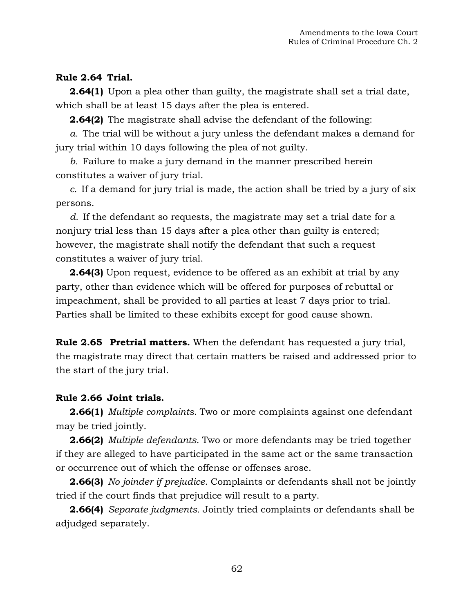## **Rule 2.64 Trial.**

**2.64(1)** Upon a plea other than guilty, the magistrate shall set a trial date, which shall be at least 15 days after the plea is entered.

**2.64(2)** The magistrate shall advise the defendant of the following:

*a.* The trial will be without a jury unless the defendant makes a demand for jury trial within 10 days following the plea of not guilty.

*b.* Failure to make a jury demand in the manner prescribed herein constitutes a waiver of jury trial.

*c.* If a demand for jury trial is made, the action shall be tried by a jury of six persons.

*d.* If the defendant so requests, the magistrate may set a trial date for a nonjury trial less than 15 days after a plea other than guilty is entered; however, the magistrate shall notify the defendant that such a request constitutes a waiver of jury trial.

**2.64(3)** Upon request, evidence to be offered as an exhibit at trial by any party, other than evidence which will be offered for purposes of rebuttal or impeachment, shall be provided to all parties at least 7 days prior to trial. Parties shall be limited to these exhibits except for good cause shown.

**Rule 2.65 Pretrial matters.** When the defendant has requested a jury trial, the magistrate may direct that certain matters be raised and addressed prior to the start of the jury trial.

## **Rule 2.66 Joint trials.**

**2.66(1)** *Multiple complaints.* Two or more complaints against one defendant may be tried jointly.

**2.66(2)** *Multiple defendants.* Two or more defendants may be tried together if they are alleged to have participated in the same act or the same transaction or occurrence out of which the offense or offenses arose.

**2.66(3)** *No joinder if prejudice.* Complaints or defendants shall not be jointly tried if the court finds that prejudice will result to a party.

**2.66(4)** *Separate judgments.* Jointly tried complaints or defendants shall be adjudged separately.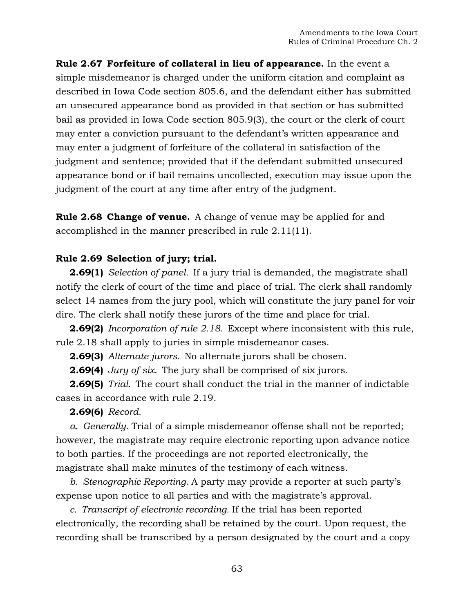**Rule 2.67 Forfeiture of collateral in lieu of appearance.** In the event a simple misdemeanor is charged under the uniform citation and complaint as described in Iowa Code section 805.6, and the defendant either has submitted an unsecured appearance bond as provided in that section or has submitted bail as provided in Iowa Code section 805.9(3), the court or the clerk of court may enter a conviction pursuant to the defendant's written appearance and may enter a judgment of forfeiture of the collateral in satisfaction of the judgment and sentence; provided that if the defendant submitted unsecured appearance bond or if bail remains uncollected, execution may issue upon the judgment of the court at any time after entry of the judgment.

**Rule 2.68 Change of venue.** A change of venue may be applied for and accomplished in the manner prescribed in rule 2.11(11).

## **Rule 2.69 Selection of jury; trial.**

**2.69(1)** *Selection of panel.* If a jury trial is demanded, the magistrate shall notify the clerk of court of the time and place of trial. The clerk shall randomly select 14 names from the jury pool, which will constitute the jury panel for voir dire. The clerk shall notify these jurors of the time and place for trial.

**2.69(2)** *Incorporation of rule 2.18.* Except where inconsistent with this rule, rule 2.18 shall apply to juries in simple misdemeanor cases.

**2.69(3)** *Alternate jurors.* No alternate jurors shall be chosen.

**2.69(4)** *Jury of six.* The jury shall be comprised of six jurors.

**2.69(5)** *Trial.* The court shall conduct the trial in the manner of indictable cases in accordance with rule 2.19.

**2.69(6)** *Record.*

*a. Generally.* Trial of a simple misdemeanor offense shall not be reported; however, the magistrate may require electronic reporting upon advance notice to both parties. If the proceedings are not reported electronically, the magistrate shall make minutes of the testimony of each witness.

*b. Stenographic Reporting.* A party may provide a reporter at such party's expense upon notice to all parties and with the magistrate's approval.

*c. Transcript of electronic recording.* If the trial has been reported electronically, the recording shall be retained by the court. Upon request, the recording shall be transcribed by a person designated by the court and a copy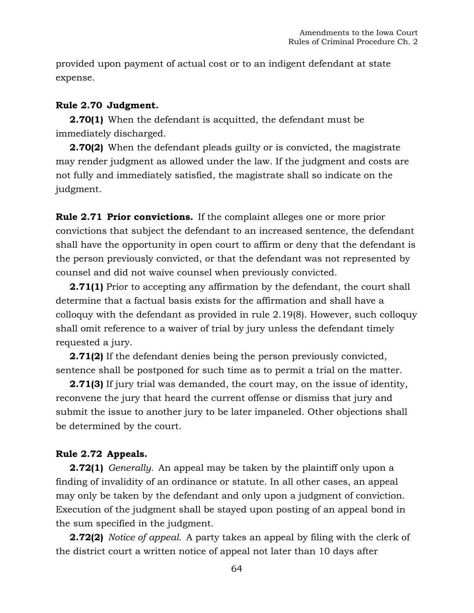provided upon payment of actual cost or to an indigent defendant at state expense.

## **Rule 2.70 Judgment.**

**2.70(1)** When the defendant is acquitted, the defendant must be immediately discharged.

**2.70(2)** When the defendant pleads guilty or is convicted, the magistrate may render judgment as allowed under the law. If the judgment and costs are not fully and immediately satisfied, the magistrate shall so indicate on the judgment.

**Rule 2.71 Prior convictions.** If the complaint alleges one or more prior convictions that subject the defendant to an increased sentence, the defendant shall have the opportunity in open court to affirm or deny that the defendant is the person previously convicted, or that the defendant was not represented by counsel and did not waive counsel when previously convicted.

**2.71(1)** Prior to accepting any affirmation by the defendant, the court shall determine that a factual basis exists for the affirmation and shall have a colloquy with the defendant as provided in rule 2.19(8). However, such colloquy shall omit reference to a waiver of trial by jury unless the defendant timely requested a jury.

**2.71(2)** If the defendant denies being the person previously convicted, sentence shall be postponed for such time as to permit a trial on the matter.

**2.71(3)** If jury trial was demanded, the court may, on the issue of identity, reconvene the jury that heard the current offense or dismiss that jury and submit the issue to another jury to be later impaneled. Other objections shall be determined by the court.

## **Rule 2.72 Appeals.**

**2.72(1)** *Generally.* An appeal may be taken by the plaintiff only upon a finding of invalidity of an ordinance or statute. In all other cases, an appeal may only be taken by the defendant and only upon a judgment of conviction. Execution of the judgment shall be stayed upon posting of an appeal bond in the sum specified in the judgment.

**2.72(2)** *Notice of appeal.* A party takes an appeal by filing with the clerk of the district court a written notice of appeal not later than 10 days after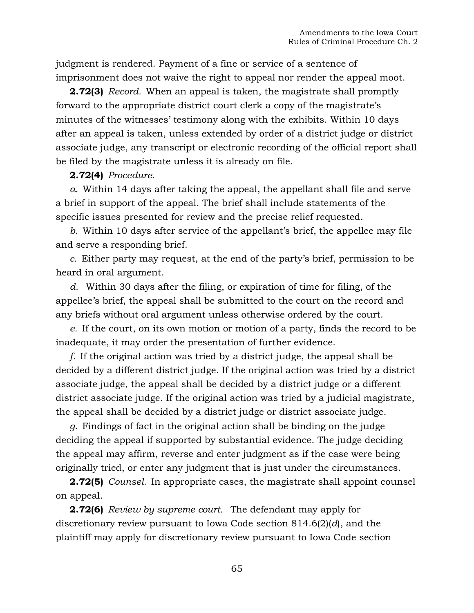judgment is rendered. Payment of a fine or service of a sentence of imprisonment does not waive the right to appeal nor render the appeal moot.

**2.72(3)** *Record.* When an appeal is taken, the magistrate shall promptly forward to the appropriate district court clerk a copy of the magistrate's minutes of the witnesses' testimony along with the exhibits. Within 10 days after an appeal is taken, unless extended by order of a district judge or district associate judge, any transcript or electronic recording of the official report shall be filed by the magistrate unless it is already on file.

### **2.72(4)** *Procedure.*

*a.* Within 14 days after taking the appeal, the appellant shall file and serve a brief in support of the appeal. The brief shall include statements of the specific issues presented for review and the precise relief requested.

*b.* Within 10 days after service of the appellant's brief, the appellee may file and serve a responding brief.

*c.* Either party may request, at the end of the party's brief, permission to be heard in oral argument.

*d.* Within 30 days after the filing, or expiration of time for filing, of the appellee's brief, the appeal shall be submitted to the court on the record and any briefs without oral argument unless otherwise ordered by the court.

*e.* If the court, on its own motion or motion of a party, finds the record to be inadequate, it may order the presentation of further evidence.

*f.* If the original action was tried by a district judge, the appeal shall be decided by a different district judge. If the original action was tried by a district associate judge, the appeal shall be decided by a district judge or a different district associate judge. If the original action was tried by a judicial magistrate, the appeal shall be decided by a district judge or district associate judge.

*g.* Findings of fact in the original action shall be binding on the judge deciding the appeal if supported by substantial evidence. The judge deciding the appeal may affirm, reverse and enter judgment as if the case were being originally tried, or enter any judgment that is just under the circumstances.

**2.72(5)** *Counsel.* In appropriate cases, the magistrate shall appoint counsel on appeal.

**2.72(6)** *Review by supreme court.* The defendant may apply for discretionary review pursuant to Iowa Code section 814.6(2)(*d*), and the plaintiff may apply for discretionary review pursuant to Iowa Code section